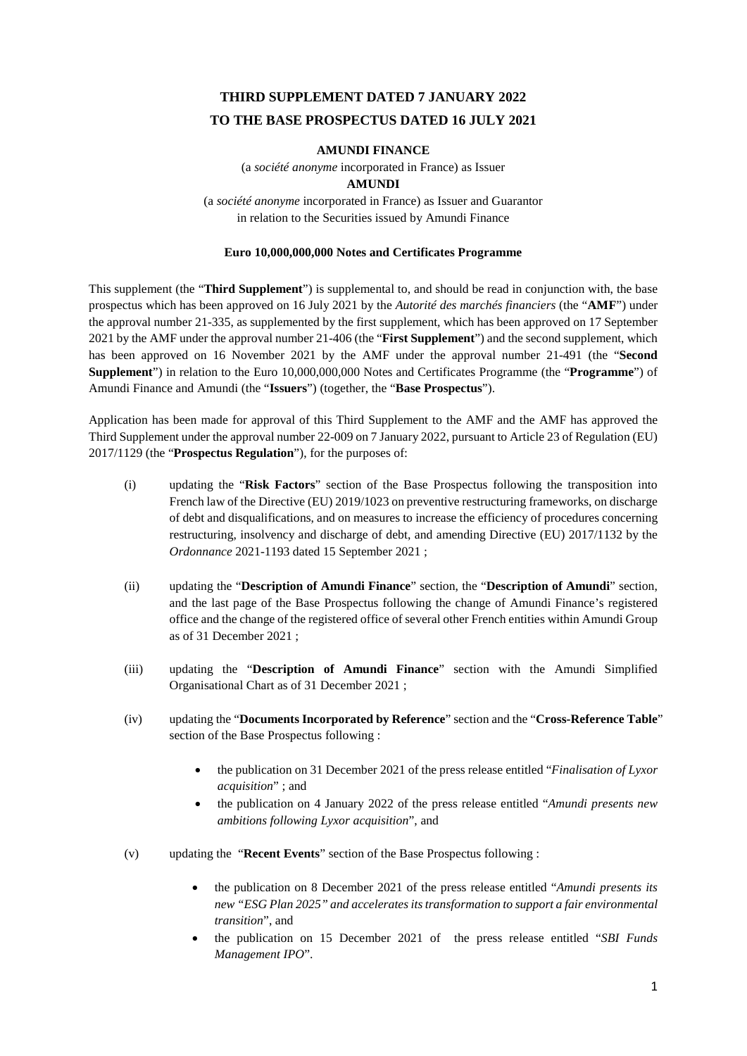# **THIRD SUPPLEMENT DATED 7 JANUARY 2022 TO THE BASE PROSPECTUS DATED 16 JULY 2021**

## **AMUNDI FINANCE**

(a *société anonyme* incorporated in France) as Issuer

## **AMUNDI**

(a *société anonyme* incorporated in France) as Issuer and Guarantor in relation to the Securities issued by Amundi Finance

## **Euro 10,000,000,000 Notes and Certificates Programme**

This supplement (the "**Third Supplement**") is supplemental to, and should be read in conjunction with, the base prospectus which has been approved on 16 July 2021 by the *Autorité des marchés financiers* (the "**AMF**") under the approval number 21-335, as supplemented by the first supplement, which has been approved on 17 September 2021 by the AMF under the approval number 21-406 (the "**First Supplement**") and the second supplement, which has been approved on 16 November 2021 by the AMF under the approval number 21-491 (the "**Second Supplement**") in relation to the Euro 10,000,000,000 Notes and Certificates Programme (the "**Programme**") of Amundi Finance and Amundi (the "**Issuers**") (together, the "**Base Prospectus**").

Application has been made for approval of this Third Supplement to the AMF and the AMF has approved the Third Supplement under the approval number 22-009 on 7 January 2022, pursuant to Article 23 of Regulation (EU) 2017/1129 (the "**Prospectus Regulation**"), for the purposes of:

- (i) updating the "**Risk Factors**" section of the Base Prospectus following the transposition into French law of the Directive (EU) 2019/1023 on preventive restructuring frameworks, on discharge of debt and disqualifications, and on measures to increase the efficiency of procedures concerning restructuring, insolvency and discharge of debt, and amending Directive (EU) 2017/1132 by the *Ordonnance* 2021-1193 dated 15 September 2021 ;
- (ii) updating the "**Description of Amundi Finance**" section, the "**Description of Amundi**" section, and the last page of the Base Prospectus following the change of Amundi Finance's registered office and the change of the registered office of several other French entities within Amundi Group as of 31 December 2021 ;
- (iii) updating the "**Description of Amundi Finance**" section with the Amundi Simplified Organisational Chart as of 31 December 2021 ;
- (iv) updating the "**Documents Incorporated by Reference**" section and the "**Cross-Reference Table**" section of the Base Prospectus following :
	- the publication on 31 December 2021 of the press release entitled "*Finalisation of Lyxor acquisition*" ; and
	- the publication on 4 January 2022 of the press release entitled "*Amundi presents new ambitions following Lyxor acquisition*", and
- (v) updating the "**Recent Events**" section of the Base Prospectus following :
	- the publication on 8 December 2021 of the press release entitled "*Amundi presents its new "ESG Plan 2025" and accelerates its transformation to support a fair environmental transition*", and
	- the publication on 15 December 2021 of the press release entitled "*SBI Funds Management IPO*".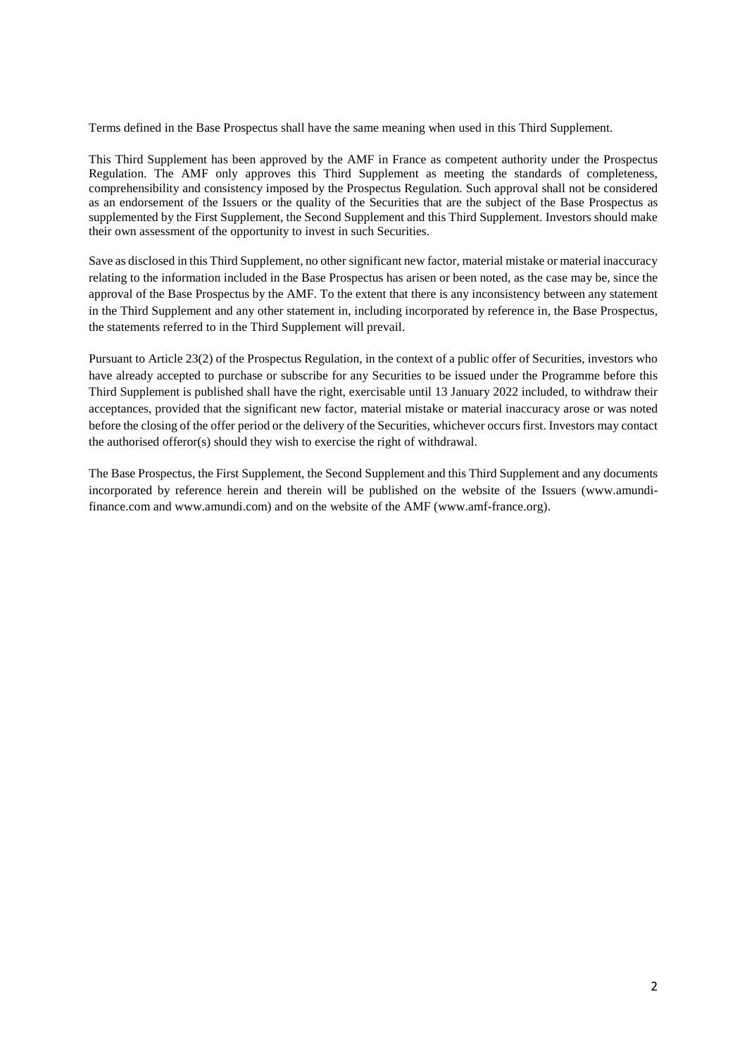Terms defined in the Base Prospectus shall have the same meaning when used in this Third Supplement.

This Third Supplement has been approved by the AMF in France as competent authority under the Prospectus Regulation. The AMF only approves this Third Supplement as meeting the standards of completeness, comprehensibility and consistency imposed by the Prospectus Regulation. Such approval shall not be considered as an endorsement of the Issuers or the quality of the Securities that are the subject of the Base Prospectus as supplemented by the First Supplement, the Second Supplement and this Third Supplement. Investors should make their own assessment of the opportunity to invest in such Securities.

Save as disclosed in this Third Supplement, no other significant new factor, material mistake or material inaccuracy relating to the information included in the Base Prospectus has arisen or been noted, as the case may be, since the approval of the Base Prospectus by the AMF. To the extent that there is any inconsistency between any statement in the Third Supplement and any other statement in, including incorporated by reference in, the Base Prospectus, the statements referred to in the Third Supplement will prevail.

Pursuant to Article 23(2) of the Prospectus Regulation, in the context of a public offer of Securities, investors who have already accepted to purchase or subscribe for any Securities to be issued under the Programme before this Third Supplement is published shall have the right, exercisable until 13 January 2022 included, to withdraw their acceptances, provided that the significant new factor, material mistake or material inaccuracy arose or was noted before the closing of the offer period or the delivery of the Securities, whichever occurs first. Investors may contact the authorised offeror(s) should they wish to exercise the right of withdrawal.

The Base Prospectus, the First Supplement, the Second Supplement and this Third Supplement and any documents incorporated by reference herein and therein will be published on the website of the Issuers (www.amundifinance.com and www.amundi.com) and on the website of the AMF (www.amf-france.org).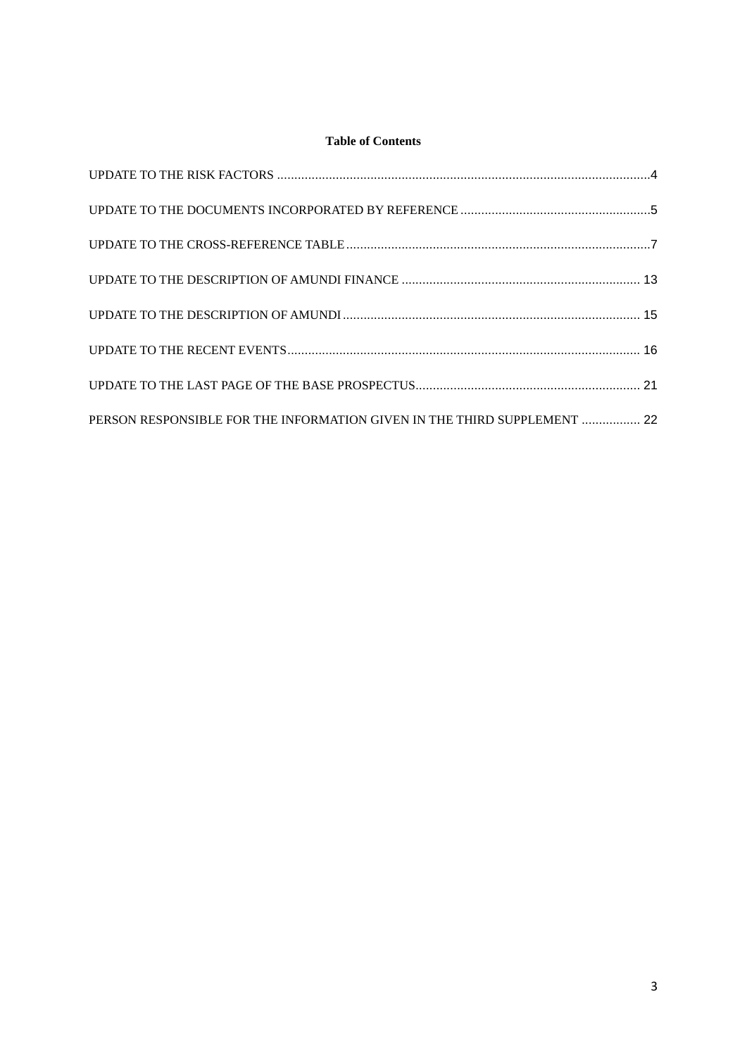# **Table of Contents**

| PERSON RESPONSIBLE FOR THE INFORMATION GIVEN IN THE THIRD SUPPLEMENT  22 |  |
|--------------------------------------------------------------------------|--|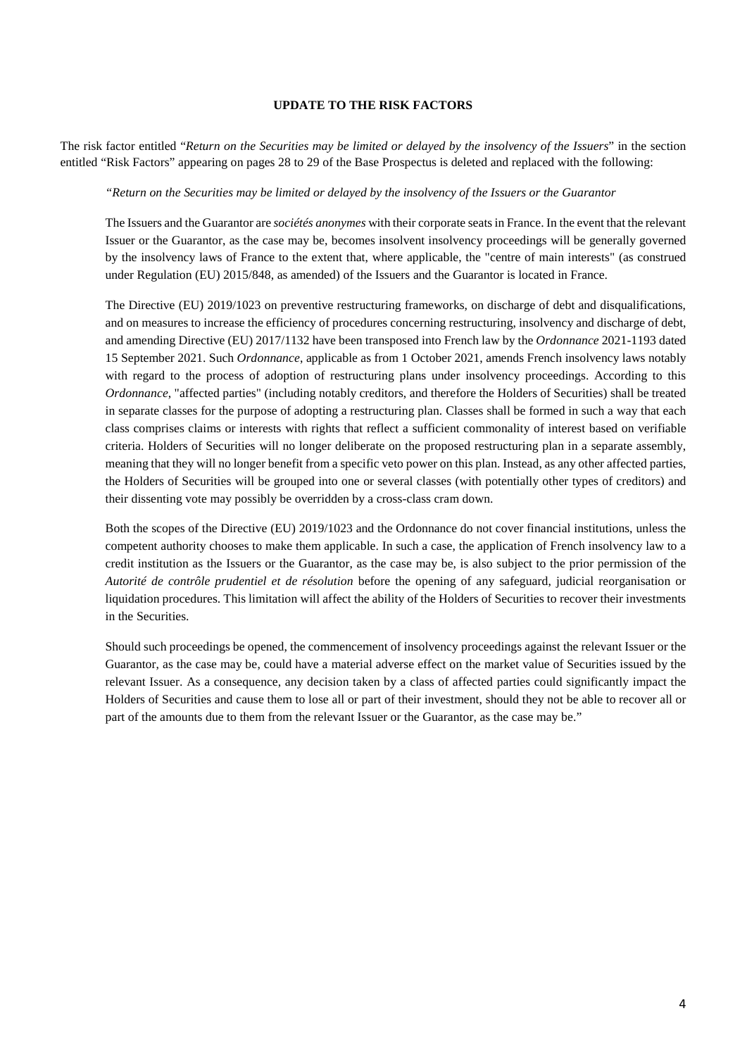### <span id="page-3-0"></span>**UPDATE TO THE RISK FACTORS**

The risk factor entitled "*Return on the Securities may be limited or delayed by the insolvency of the Issuers*" in the section entitled "Risk Factors" appearing on pages 28 to 29 of the Base Prospectus is deleted and replaced with the following:

#### *"Return on the Securities may be limited or delayed by the insolvency of the Issuers or the Guarantor*

The Issuers and the Guarantor are *sociétés anonymes* with their corporate seats in France. In the event that the relevant Issuer or the Guarantor, as the case may be, becomes insolvent insolvency proceedings will be generally governed by the insolvency laws of France to the extent that, where applicable, the "centre of main interests" (as construed under Regulation (EU) 2015/848, as amended) of the Issuers and the Guarantor is located in France.

The Directive (EU) 2019/1023 on preventive restructuring frameworks, on discharge of debt and disqualifications, and on measures to increase the efficiency of procedures concerning restructuring, insolvency and discharge of debt, and amending Directive (EU) 2017/1132 have been transposed into French law by the *Ordonnance* 2021-1193 dated 15 September 2021. Such *Ordonnance*, applicable as from 1 October 2021, amends French insolvency laws notably with regard to the process of adoption of restructuring plans under insolvency proceedings. According to this *Ordonnance*, "affected parties" (including notably creditors, and therefore the Holders of Securities) shall be treated in separate classes for the purpose of adopting a restructuring plan. Classes shall be formed in such a way that each class comprises claims or interests with rights that reflect a sufficient commonality of interest based on verifiable criteria. Holders of Securities will no longer deliberate on the proposed restructuring plan in a separate assembly, meaning that they will no longer benefit from a specific veto power on this plan. Instead, as any other affected parties, the Holders of Securities will be grouped into one or several classes (with potentially other types of creditors) and their dissenting vote may possibly be overridden by a cross-class cram down.

Both the scopes of the Directive (EU) 2019/1023 and the Ordonnance do not cover financial institutions, unless the competent authority chooses to make them applicable. In such a case, the application of French insolvency law to a credit institution as the Issuers or the Guarantor, as the case may be, is also subject to the prior permission of the *Autorité de contrôle prudentiel et de résolution* before the opening of any safeguard, judicial reorganisation or liquidation procedures. This limitation will affect the ability of the Holders of Securities to recover their investments in the Securities.

Should such proceedings be opened, the commencement of insolvency proceedings against the relevant Issuer or the Guarantor, as the case may be, could have a material adverse effect on the market value of Securities issued by the relevant Issuer. As a consequence, any decision taken by a class of affected parties could significantly impact the Holders of Securities and cause them to lose all or part of their investment, should they not be able to recover all or part of the amounts due to them from the relevant Issuer or the Guarantor, as the case may be."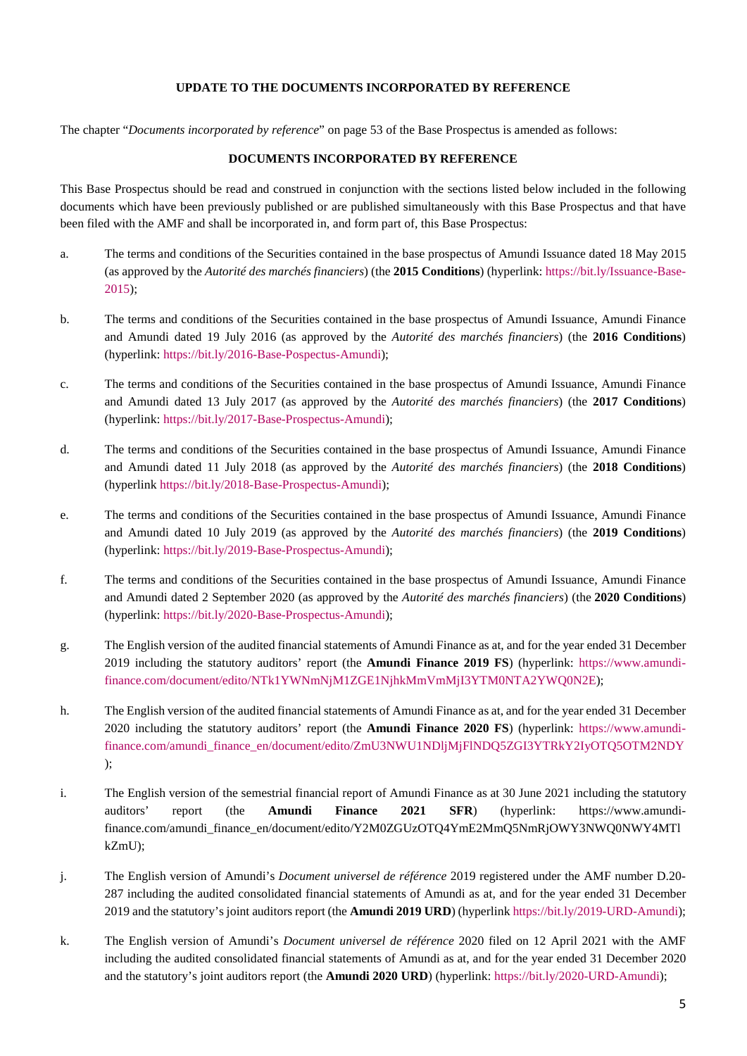## <span id="page-4-1"></span>**UPDATE TO THE DOCUMENTS INCORPORATED BY REFERENCE**

<span id="page-4-0"></span>The chapter "*Documents incorporated by reference*" on page 53 of the Base Prospectus is amended as follows:

### **DOCUMENTS INCORPORATED BY REFERENCE**

This Base Prospectus should be read and construed in conjunction with the sections listed below included in the following documents which have been previously published or are published simultaneously with this Base Prospectus and that have been filed with the AMF and shall be incorporated in, and form part of, this Base Prospectus:

- a. [The terms and conditions of the Securities contained in the base prospectus of Amundi Issuance dated 18 May 2015](https://bit.ly/Issuance-Base-2015)  (as approved by the *Autorité des marchés financiers*) (the **2015 Conditions**) (hyperlink: https://bit.ly/Issuance-Base-[2015\);](https://bit.ly/Issuance-Base-2015)
- b. The terms and conditions of the Securities contained in the base prospectus of Amundi Issuance, Amundi Finance and Amundi dated 19 July 2016 (as approved by the *Autorité des marchés financiers*) (the **2016 Conditions**) (hyperlink: [https://bit.ly/2016-Base-Pospectus-Amundi\)](https://bit.ly/2016-Base-Pospectus-Amundi);
- c. The terms and conditions of the Securities contained in the base prospectus of Amundi Issuance, Amundi Finance and Amundi dated 13 July 2017 (as approved by the *Autorité des marchés financiers*) (the **2017 Conditions**) (hyperlink:<https://bit.ly/2017-Base-Prospectus-Amundi>);
- d. The terms and conditions of the Securities contained in the base prospectus of Amundi Issuance, Amundi Finance and Amundi dated 11 July 2018 (as approved by the *Autorité des marchés financiers*) (the **2018 Conditions**) (hyperlink <https://bit.ly/2018-Base-Prospectus-Amundi>);
- e. The terms and conditions of the Securities contained in the base prospectus of Amundi Issuance, Amundi Finance and Amundi dated 10 July 2019 (as approved by the *Autorité des marchés financiers*) (the **2019 Conditions**) (hyperlink:<https://bit.ly/2019-Base-Prospectus-Amundi>);
- f. The terms and conditions of the Securities contained in the base prospectus of Amundi Issuance, Amundi Finance and Amundi dated 2 September 2020 (as approved by the *Autorité des marchés financiers*) (the **2020 Conditions**) (hyperlink:<https://bit.ly/2020-Base-Prospectus-Amundi>);
- g. [The English version of the audited financial statements of Amundi Finance as at, and for the year ended 31 December](https://www.amundi-finance.com/document/edito/NTk1YWNmNjM1ZGE1NjhkMmVmMjI3YTM0NTA2YWQ0N2E)  2019 including the statutory auditors' report (the **Amundi Finance 2019 FS**) (hyperlink: https://www.amundi[finance.com/document/edito/NTk1YWNmNjM1ZGE1NjhkMmVmMjI3YTM0NTA2YWQ0N2E\);](https://www.amundi-finance.com/document/edito/NTk1YWNmNjM1ZGE1NjhkMmVmMjI3YTM0NTA2YWQ0N2E)
- h. The English version of the audited financial statements of Amundi Finance as at, and for the yea[r ended 31 December](https://www.amundi-finance.com/amundi_finance_en/document/edito/ZmU3NWU1NDljMjFlNDQ5ZGI3YTRkY2IyOTQ5OTM2NDY)  [2020 including the statutory auditors' report \(the](https://www.amundi-finance.com/amundi_finance_en/document/edito/ZmU3NWU1NDljMjFlNDQ5ZGI3YTRkY2IyOTQ5OTM2NDY) **Amundi Finance 2020 FS**) (hyperlink: https://www.amundifinance.com/amundi\_finance\_en/document/edito/ZmU3NWU1NDljMjFlNDQ5ZGI3YTRkY2IyOTQ5OTM2NDY );
- i. The English version of the semestrial financial report of Amundi Finance as at 30 June 2021 i[ncluding the statutory](https://www.amundi-finance.com/amundi_finance_en/document/edito/Y2M0ZGUzOTQ4YmE2MmQ5NmRjOWY3NWQ0NWY4MTlkZmU)  [auditors' report \(the](https://www.amundi-finance.com/amundi_finance_en/document/edito/Y2M0ZGUzOTQ4YmE2MmQ5NmRjOWY3NWQ0NWY4MTlkZmU) **[Amundi Finance 2021 SFR](https://www.amundi-finance.com/amundi_finance_en/document/edito/Y2M0ZGUzOTQ4YmE2MmQ5NmRjOWY3NWQ0NWY4MTlkZmU)**[\) \(hyperlink: https://www.amundi](https://www.amundi-finance.com/amundi_finance_en/document/edito/Y2M0ZGUzOTQ4YmE2MmQ5NmRjOWY3NWQ0NWY4MTlkZmU)finance.com/amundi\_finance\_en/document/edito/Y2M0ZGUzOTQ4YmE2MmQ5NmRjOWY3NWQ0NWY4MTl [kZmU\);](https://www.amundi-finance.com/amundi_finance_en/document/edito/Y2M0ZGUzOTQ4YmE2MmQ5NmRjOWY3NWQ0NWY4MTlkZmU)
- j. The English version of Amundi's *Document universel de référence* 2019 registered under the AMF number D.20- 287 including the audited consolidated financial statements of Amundi as at, and for the year ended 31 December 2019 and the statutory's joint auditors report (the **Amundi 2019 URD**) (hyperlink [https://bit.ly/2019-URD-Amundi\)](https://bit.ly/2019-URD-Amundi);
- k. The English version of Amundi's *Document universel de référence* 2020 filed on 12 April 2021 with the AMF including the audited consolidated financial statements of Amundi as at, and [for the year ended 31 December 2](https://bit.ly/2020-URD-Amundi)020 and the statutory's joint auditors report (the **Amundi 2020 URD**) (hyperlink: https://bit.ly/2020-URD-Amundi);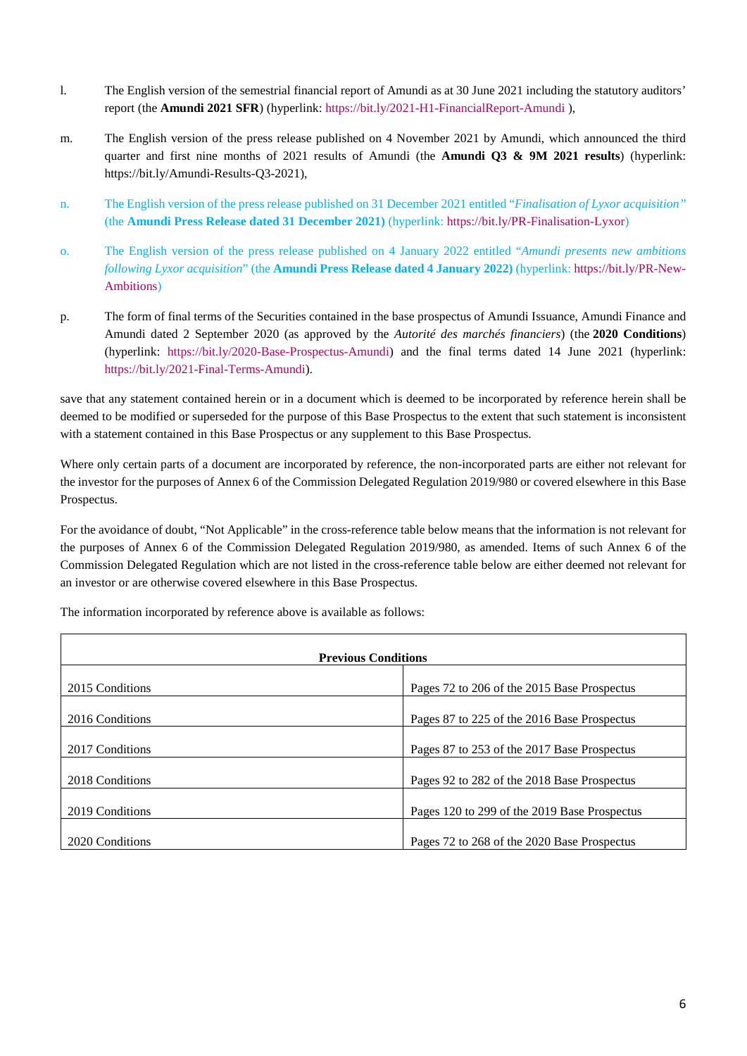- l. The English version of the semestrial financial report of Amundi as at 30 June 2021 including the statutory auditors' report (the **Amundi 2021 SFR**) (hyperlink: <https://bit.ly/2021-H1-FinancialReport-Amundi>),
- m. The English version of the press release published on 4 November 2021 by Amundi, which announced the third quarter and first nine months of 2021 results of Amundi (the **Amundi Q3 & 9M 2021 results**) (hyperlink: <https://bit.ly/Amundi-Results-Q3-2021>),
- n. The English version of the press release published on 31 December 2021 entitled "*Finalisation of Lyxor acquisition"* (the **Amundi Press Release dated 31 December 2021)** (hyperlink:<https://bit.ly/PR-Finalisation-Lyxor>)
- o. The English version of the press release published on 4 January 2022 entitled "*Amundi p[resents new ambitions](https://bit.ly/PR-New-Ambitions)  [following Lyx](https://bit.ly/PR-New-Ambitions)or acquisition*" (the **Amundi Press Release dated 4 January 2022)** (hyperlink: https://bit.ly/PR-New-Ambitions)
- p. The form of final terms of the Securities contained in the base prospectus of Amundi Issuance, Amundi Finance and [Amundi dated 2 September 2020 \(as approved by the](https://bit.ly/2020-Base-Prospectus-Amundi) *Autorité des marchés financiers*) (the **2020 Conditions**) (hyperlink: https://bit.ly/2020-Base-Prospectus-Amundi) and the final terms dated 14 June 2021 (hyperlink: <https://bit.ly/2021-Final-Terms-Amundi>).

save that any statement contained herein or in a document which is deemed to be incorporated by reference herein shall be deemed to be modified or superseded for the purpose of this Base Prospectus to the extent that such statement is inconsistent with a statement contained in this Base Prospectus or any supplement to this Base Prospectus.

Where only certain parts of a document are incorporated by reference, the non-incorporated parts are either not relevant for the investor for the purposes of Annex 6 of the Commission Delegated Regulation 2019/980 or covered elsewhere in this Base Prospectus.

For the avoidance of doubt, "Not Applicable" in the cross-reference table below means that the information is not relevant for the purposes of Annex 6 of the Commission Delegated Regulation 2019/980, as amended. Items of such Annex 6 of the Commission Delegated Regulation which are not listed in the cross-reference table below are either deemed not relevant for an investor or are otherwise covered elsewhere in this Base Prospectus.

| <b>Previous Conditions</b> |                                              |  |  |
|----------------------------|----------------------------------------------|--|--|
| 2015 Conditions            | Pages 72 to 206 of the 2015 Base Prospectus  |  |  |
|                            |                                              |  |  |
| 2016 Conditions            | Pages 87 to 225 of the 2016 Base Prospectus  |  |  |
| 2017 Conditions            | Pages 87 to 253 of the 2017 Base Prospectus  |  |  |
|                            |                                              |  |  |
| 2018 Conditions            | Pages 92 to 282 of the 2018 Base Prospectus  |  |  |
| 2019 Conditions            | Pages 120 to 299 of the 2019 Base Prospectus |  |  |
|                            |                                              |  |  |
| 2020 Conditions            | Pages 72 to 268 of the 2020 Base Prospectus  |  |  |

The information incorporated by reference above is available as follows: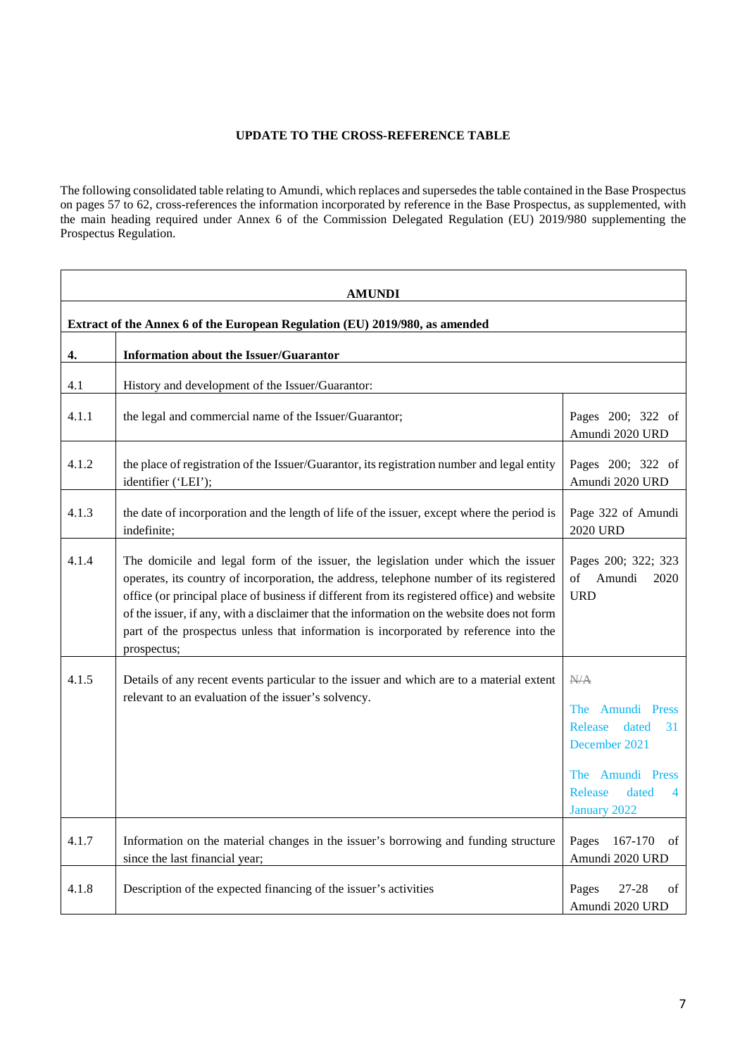# <span id="page-6-1"></span>**UPDATE TO THE CROSS-REFERENCE TABLE**

<span id="page-6-0"></span>The following consolidated table relating to Amundi, which replaces and supersedes the table contained in the Base Prospectus on pages 57 to 62, cross-references the information incorporated by reference in the Base Prospectus, as supplemented, with the main heading required under Annex 6 of the Commission Delegated Regulation (EU) 2019/980 supplementing the Prospectus Regulation.

| AMUNDI                                                                      |                                                                                                                                                                                                                                                                                                                                                                                                                                                                                  |                                                                                                                                 |
|-----------------------------------------------------------------------------|----------------------------------------------------------------------------------------------------------------------------------------------------------------------------------------------------------------------------------------------------------------------------------------------------------------------------------------------------------------------------------------------------------------------------------------------------------------------------------|---------------------------------------------------------------------------------------------------------------------------------|
| Extract of the Annex 6 of the European Regulation (EU) 2019/980, as amended |                                                                                                                                                                                                                                                                                                                                                                                                                                                                                  |                                                                                                                                 |
| 4.                                                                          | <b>Information about the Issuer/Guarantor</b>                                                                                                                                                                                                                                                                                                                                                                                                                                    |                                                                                                                                 |
| 4.1                                                                         | History and development of the Issuer/Guarantor:                                                                                                                                                                                                                                                                                                                                                                                                                                 |                                                                                                                                 |
| 4.1.1                                                                       | the legal and commercial name of the Issuer/Guarantor;                                                                                                                                                                                                                                                                                                                                                                                                                           | Pages 200; 322 of<br>Amundi 2020 URD                                                                                            |
| 4.1.2                                                                       | the place of registration of the Issuer/Guarantor, its registration number and legal entity<br>identifier ('LEI');                                                                                                                                                                                                                                                                                                                                                               | Pages 200; 322 of<br>Amundi 2020 URD                                                                                            |
| 4.1.3                                                                       | the date of incorporation and the length of life of the issuer, except where the period is<br>indefinite;                                                                                                                                                                                                                                                                                                                                                                        | Page 322 of Amundi<br>2020 URD                                                                                                  |
| 4.1.4                                                                       | The domicile and legal form of the issuer, the legislation under which the issuer<br>operates, its country of incorporation, the address, telephone number of its registered<br>office (or principal place of business if different from its registered office) and website<br>of the issuer, if any, with a disclaimer that the information on the website does not form<br>part of the prospectus unless that information is incorporated by reference into the<br>prospectus; | Pages 200; 322; 323<br>of Amundi<br>2020<br><b>URD</b>                                                                          |
| 4.1.5                                                                       | Details of any recent events particular to the issuer and which are to a material extent<br>relevant to an evaluation of the issuer's solvency.                                                                                                                                                                                                                                                                                                                                  | N/A<br>The Amundi Press<br>Release<br>dated<br>31<br>December 2021<br>The Amundi Press<br>Release<br>dated<br>4<br>January 2022 |
| 4.1.7                                                                       | Information on the material changes in the issuer's borrowing and funding structure<br>since the last financial year;                                                                                                                                                                                                                                                                                                                                                            | 167-170<br>Pages<br>of<br>Amundi 2020 URD                                                                                       |
| 4.1.8                                                                       | Description of the expected financing of the issuer's activities                                                                                                                                                                                                                                                                                                                                                                                                                 | Pages<br>27-28<br>of<br>Amundi 2020 URD                                                                                         |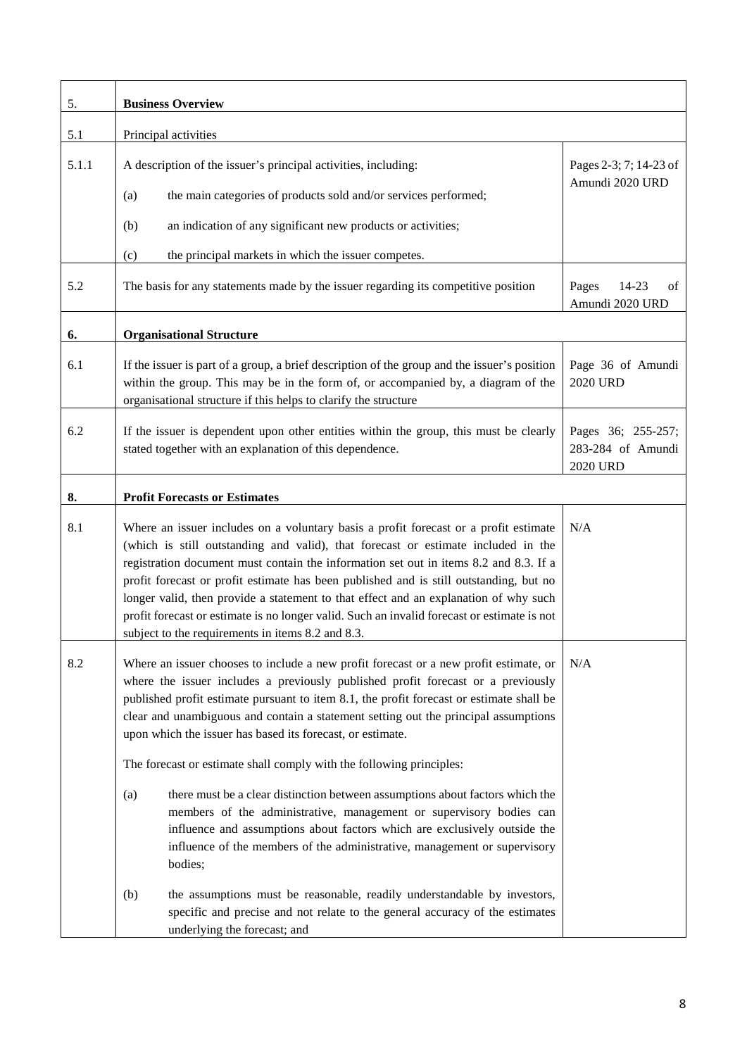| 5.    | <b>Business Overview</b>                                                                                                                                                                                                                                                                                                                                                                                                                                                                                                                                                                                                                                                                                                                                                                                                                                                                                                  |                                                            |  |  |
|-------|---------------------------------------------------------------------------------------------------------------------------------------------------------------------------------------------------------------------------------------------------------------------------------------------------------------------------------------------------------------------------------------------------------------------------------------------------------------------------------------------------------------------------------------------------------------------------------------------------------------------------------------------------------------------------------------------------------------------------------------------------------------------------------------------------------------------------------------------------------------------------------------------------------------------------|------------------------------------------------------------|--|--|
| 5.1   | Principal activities                                                                                                                                                                                                                                                                                                                                                                                                                                                                                                                                                                                                                                                                                                                                                                                                                                                                                                      |                                                            |  |  |
| 5.1.1 | A description of the issuer's principal activities, including:<br>the main categories of products sold and/or services performed;<br>(a)<br>an indication of any significant new products or activities;<br>(b)<br>the principal markets in which the issuer competes.<br>(c)                                                                                                                                                                                                                                                                                                                                                                                                                                                                                                                                                                                                                                             | Pages 2-3; 7; 14-23 of<br>Amundi 2020 URD                  |  |  |
| 5.2   | The basis for any statements made by the issuer regarding its competitive position                                                                                                                                                                                                                                                                                                                                                                                                                                                                                                                                                                                                                                                                                                                                                                                                                                        | Pages<br>14-23<br>of<br>Amundi 2020 URD                    |  |  |
| 6.    | <b>Organisational Structure</b>                                                                                                                                                                                                                                                                                                                                                                                                                                                                                                                                                                                                                                                                                                                                                                                                                                                                                           |                                                            |  |  |
| 6.1   | If the issuer is part of a group, a brief description of the group and the issuer's position<br>within the group. This may be in the form of, or accompanied by, a diagram of the<br>organisational structure if this helps to clarify the structure                                                                                                                                                                                                                                                                                                                                                                                                                                                                                                                                                                                                                                                                      | Page 36 of Amundi<br><b>2020 URD</b>                       |  |  |
| 6.2   | If the issuer is dependent upon other entities within the group, this must be clearly<br>stated together with an explanation of this dependence.                                                                                                                                                                                                                                                                                                                                                                                                                                                                                                                                                                                                                                                                                                                                                                          | Pages 36; 255-257;<br>283-284 of Amundi<br><b>2020 URD</b> |  |  |
| 8.    | <b>Profit Forecasts or Estimates</b>                                                                                                                                                                                                                                                                                                                                                                                                                                                                                                                                                                                                                                                                                                                                                                                                                                                                                      |                                                            |  |  |
| 8.1   | Where an issuer includes on a voluntary basis a profit forecast or a profit estimate<br>(which is still outstanding and valid), that forecast or estimate included in the<br>registration document must contain the information set out in items 8.2 and 8.3. If a<br>profit forecast or profit estimate has been published and is still outstanding, but no<br>longer valid, then provide a statement to that effect and an explanation of why such<br>profit forecast or estimate is no longer valid. Such an invalid forecast or estimate is not<br>subject to the requirements in items 8.2 and 8.3.                                                                                                                                                                                                                                                                                                                  | N/A                                                        |  |  |
| 8.2   | Where an issuer chooses to include a new profit forecast or a new profit estimate, or<br>where the issuer includes a previously published profit forecast or a previously<br>published profit estimate pursuant to item 8.1, the profit forecast or estimate shall be<br>clear and unambiguous and contain a statement setting out the principal assumptions<br>upon which the issuer has based its forecast, or estimate.<br>The forecast or estimate shall comply with the following principles:<br>(a)<br>there must be a clear distinction between assumptions about factors which the<br>members of the administrative, management or supervisory bodies can<br>influence and assumptions about factors which are exclusively outside the<br>influence of the members of the administrative, management or supervisory<br>bodies;<br>the assumptions must be reasonable, readily understandable by investors,<br>(b) | N/A                                                        |  |  |
|       | specific and precise and not relate to the general accuracy of the estimates<br>underlying the forecast; and                                                                                                                                                                                                                                                                                                                                                                                                                                                                                                                                                                                                                                                                                                                                                                                                              |                                                            |  |  |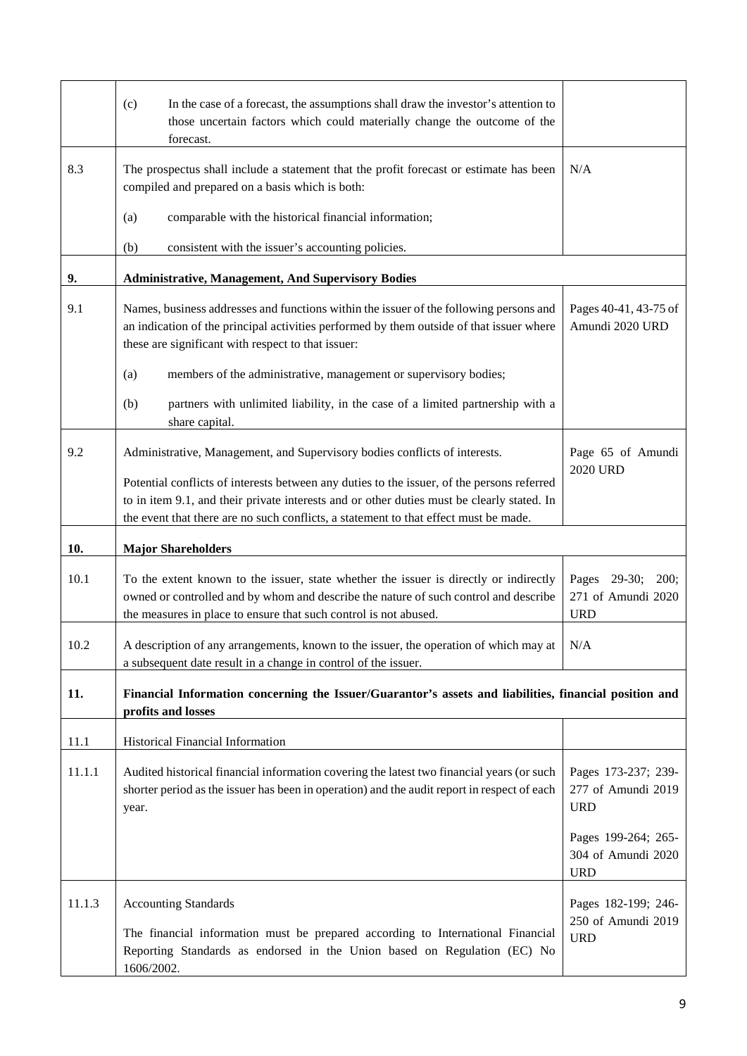|        | (c)<br>In the case of a forecast, the assumptions shall draw the investor's attention to<br>those uncertain factors which could materially change the outcome of the<br>forecast.                                                                                                |                                                          |
|--------|----------------------------------------------------------------------------------------------------------------------------------------------------------------------------------------------------------------------------------------------------------------------------------|----------------------------------------------------------|
| 8.3    | The prospectus shall include a statement that the profit forecast or estimate has been<br>compiled and prepared on a basis which is both:                                                                                                                                        | N/A                                                      |
|        | comparable with the historical financial information;<br>(a)                                                                                                                                                                                                                     |                                                          |
|        | consistent with the issuer's accounting policies.<br>(b)                                                                                                                                                                                                                         |                                                          |
| 9.     | <b>Administrative, Management, And Supervisory Bodies</b>                                                                                                                                                                                                                        |                                                          |
| 9.1    | Names, business addresses and functions within the issuer of the following persons and<br>an indication of the principal activities performed by them outside of that issuer where<br>these are significant with respect to that issuer:                                         | Pages 40-41, 43-75 of<br>Amundi 2020 URD                 |
|        | members of the administrative, management or supervisory bodies;<br>(a)                                                                                                                                                                                                          |                                                          |
|        | partners with unlimited liability, in the case of a limited partnership with a<br>(b)<br>share capital.                                                                                                                                                                          |                                                          |
| 9.2    | Administrative, Management, and Supervisory bodies conflicts of interests.                                                                                                                                                                                                       | Page 65 of Amundi                                        |
|        | Potential conflicts of interests between any duties to the issuer, of the persons referred<br>to in item 9.1, and their private interests and or other duties must be clearly stated. In<br>the event that there are no such conflicts, a statement to that effect must be made. | <b>2020 URD</b>                                          |
| 10.    | <b>Major Shareholders</b>                                                                                                                                                                                                                                                        |                                                          |
| 10.1   | To the extent known to the issuer, state whether the issuer is directly or indirectly<br>owned or controlled and by whom and describe the nature of such control and describe<br>the measures in place to ensure that such control is not abused.                                | Pages 29-30;<br>200;<br>271 of Amundi 2020<br><b>URD</b> |
| 10.2   | A description of any arrangements, known to the issuer, the operation of which may at $\mid N/A$<br>a subsequent date result in a change in control of the issuer.                                                                                                               |                                                          |
| 11.    | Financial Information concerning the Issuer/Guarantor's assets and liabilities, financial position and<br>profits and losses                                                                                                                                                     |                                                          |
| 11.1   | Historical Financial Information                                                                                                                                                                                                                                                 |                                                          |
| 11.1.1 | Audited historical financial information covering the latest two financial years (or such<br>shorter period as the issuer has been in operation) and the audit report in respect of each<br>year.                                                                                | Pages 173-237; 239-<br>277 of Amundi 2019<br><b>URD</b>  |
|        |                                                                                                                                                                                                                                                                                  | Pages 199-264; 265-<br>304 of Amundi 2020<br><b>URD</b>  |
| 11.1.3 | <b>Accounting Standards</b><br>The financial information must be prepared according to International Financial<br>Reporting Standards as endorsed in the Union based on Regulation (EC) No                                                                                       | Pages 182-199; 246-<br>250 of Amundi 2019<br><b>URD</b>  |
|        | 1606/2002.                                                                                                                                                                                                                                                                       |                                                          |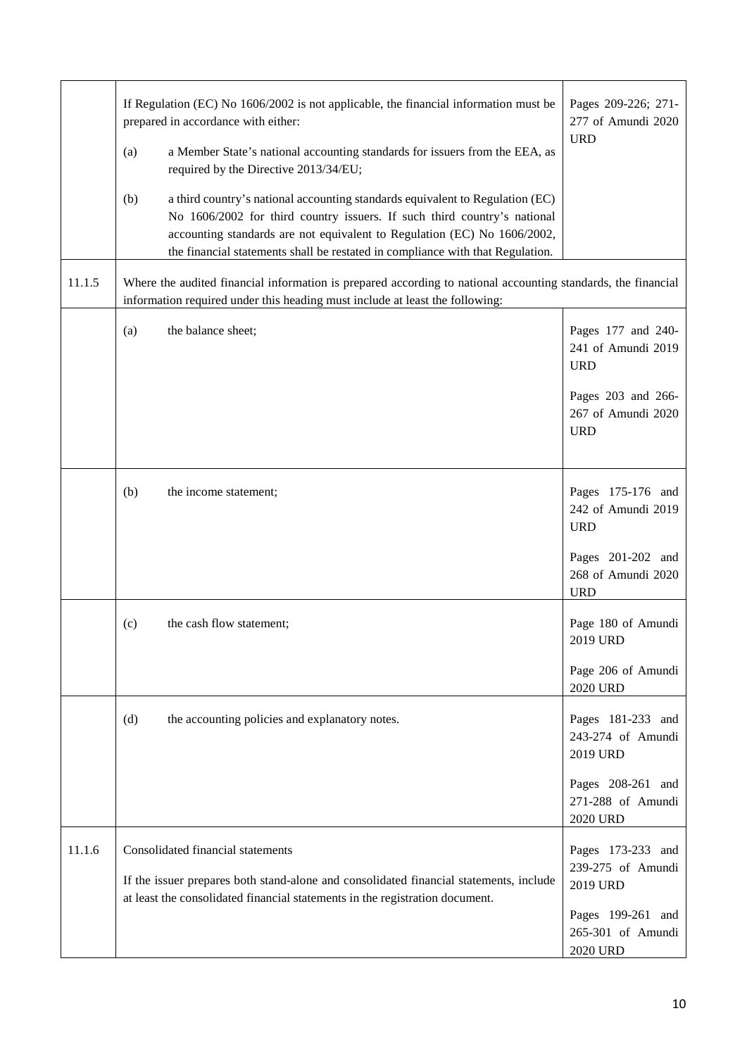|        | If Regulation (EC) No 1606/2002 is not applicable, the financial information must be<br>prepared in accordance with either:<br>a Member State's national accounting standards for issuers from the EEA, as<br>(a)<br>required by the Directive 2013/34/EU;<br>(b)<br>a third country's national accounting standards equivalent to Regulation (EC)<br>No 1606/2002 for third country issuers. If such third country's national<br>accounting standards are not equivalent to Regulation (EC) No 1606/2002,<br>the financial statements shall be restated in compliance with that Regulation. | Pages 209-226; 271-<br>277 of Amundi 2020<br><b>URD</b>                      |  |
|--------|----------------------------------------------------------------------------------------------------------------------------------------------------------------------------------------------------------------------------------------------------------------------------------------------------------------------------------------------------------------------------------------------------------------------------------------------------------------------------------------------------------------------------------------------------------------------------------------------|------------------------------------------------------------------------------|--|
| 11.1.5 | Where the audited financial information is prepared according to national accounting standards, the financial<br>information required under this heading must include at least the following:                                                                                                                                                                                                                                                                                                                                                                                                |                                                                              |  |
|        | the balance sheet;<br>(a)                                                                                                                                                                                                                                                                                                                                                                                                                                                                                                                                                                    | Pages 177 and 240-<br>241 of Amundi 2019<br><b>URD</b><br>Pages 203 and 266- |  |
|        |                                                                                                                                                                                                                                                                                                                                                                                                                                                                                                                                                                                              | 267 of Amundi 2020<br><b>URD</b>                                             |  |
|        | (b)<br>the income statement;                                                                                                                                                                                                                                                                                                                                                                                                                                                                                                                                                                 | Pages 175-176 and<br>242 of Amundi 2019<br><b>URD</b>                        |  |
|        |                                                                                                                                                                                                                                                                                                                                                                                                                                                                                                                                                                                              | Pages 201-202 and<br>268 of Amundi 2020<br><b>URD</b>                        |  |
|        | the cash flow statement;<br>(c)                                                                                                                                                                                                                                                                                                                                                                                                                                                                                                                                                              | Page 180 of Amundi<br>2019 URD                                               |  |
|        |                                                                                                                                                                                                                                                                                                                                                                                                                                                                                                                                                                                              | Page 206 of Amundi<br><b>2020 URD</b>                                        |  |
|        | (d)<br>the accounting policies and explanatory notes.                                                                                                                                                                                                                                                                                                                                                                                                                                                                                                                                        | Pages 181-233 and<br>243-274 of Amundi<br>2019 URD                           |  |
|        |                                                                                                                                                                                                                                                                                                                                                                                                                                                                                                                                                                                              | Pages 208-261 and<br>271-288 of Amundi<br><b>2020 URD</b>                    |  |
| 11.1.6 | Consolidated financial statements<br>If the issuer prepares both stand-alone and consolidated financial statements, include<br>at least the consolidated financial statements in the registration document.                                                                                                                                                                                                                                                                                                                                                                                  | Pages 173-233 and<br>239-275 of Amundi<br>2019 URD                           |  |
|        |                                                                                                                                                                                                                                                                                                                                                                                                                                                                                                                                                                                              | Pages 199-261 and<br>265-301 of Amundi<br>2020 URD                           |  |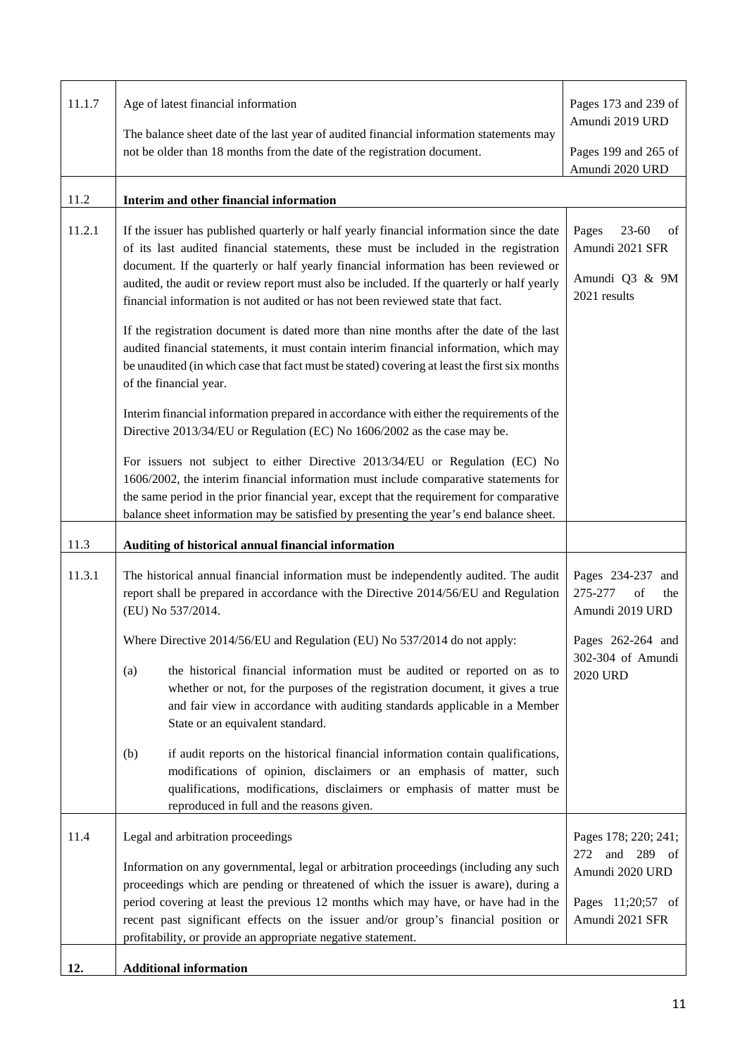| 11.1.7 | Age of latest financial information<br>The balance sheet date of the last year of audited financial information statements may<br>not be older than 18 months from the date of the registration document.                                                                                                                                                                                                                                                                                                                                                                                                                                                                                                                                                                                                                                                                                                                                                                                                                       | Pages 173 and 239 of<br>Amundi 2019 URD<br>Pages 199 and 265 of                                      |
|--------|---------------------------------------------------------------------------------------------------------------------------------------------------------------------------------------------------------------------------------------------------------------------------------------------------------------------------------------------------------------------------------------------------------------------------------------------------------------------------------------------------------------------------------------------------------------------------------------------------------------------------------------------------------------------------------------------------------------------------------------------------------------------------------------------------------------------------------------------------------------------------------------------------------------------------------------------------------------------------------------------------------------------------------|------------------------------------------------------------------------------------------------------|
| 11.2   | Interim and other financial information                                                                                                                                                                                                                                                                                                                                                                                                                                                                                                                                                                                                                                                                                                                                                                                                                                                                                                                                                                                         | Amundi 2020 URD                                                                                      |
| 11.2.1 | If the issuer has published quarterly or half yearly financial information since the date<br>of its last audited financial statements, these must be included in the registration<br>document. If the quarterly or half yearly financial information has been reviewed or<br>audited, the audit or review report must also be included. If the quarterly or half yearly<br>financial information is not audited or has not been reviewed state that fact.<br>If the registration document is dated more than nine months after the date of the last<br>audited financial statements, it must contain interim financial information, which may<br>be unaudited (in which case that fact must be stated) covering at least the first six months<br>of the financial year.<br>Interim financial information prepared in accordance with either the requirements of the<br>Directive 2013/34/EU or Regulation (EC) No 1606/2002 as the case may be.<br>For issuers not subject to either Directive 2013/34/EU or Regulation (EC) No | Pages<br>$23 - 60$<br>οf<br>Amundi 2021 SFR<br>Amundi Q3 & 9M<br>2021 results                        |
|        | 1606/2002, the interim financial information must include comparative statements for<br>the same period in the prior financial year, except that the requirement for comparative<br>balance sheet information may be satisfied by presenting the year's end balance sheet.                                                                                                                                                                                                                                                                                                                                                                                                                                                                                                                                                                                                                                                                                                                                                      |                                                                                                      |
| 11.3   | Auditing of historical annual financial information                                                                                                                                                                                                                                                                                                                                                                                                                                                                                                                                                                                                                                                                                                                                                                                                                                                                                                                                                                             |                                                                                                      |
| 11.3.1 | The historical annual financial information must be independently audited. The audit<br>report shall be prepared in accordance with the Directive 2014/56/EU and Regulation<br>(EU) No 537/2014.                                                                                                                                                                                                                                                                                                                                                                                                                                                                                                                                                                                                                                                                                                                                                                                                                                | Pages 234-237<br>and<br>275-277<br>of<br>the<br>Amundi 2019 URD                                      |
|        | Where Directive 2014/56/EU and Regulation (EU) No 537/2014 do not apply:<br>the historical financial information must be audited or reported on as to<br>(a)<br>whether or not, for the purposes of the registration document, it gives a true<br>and fair view in accordance with auditing standards applicable in a Member<br>State or an equivalent standard.<br>if audit reports on the historical financial information contain qualifications,<br>(b)<br>modifications of opinion, disclaimers or an emphasis of matter, such<br>qualifications, modifications, disclaimers or emphasis of matter must be<br>reproduced in full and the reasons given.                                                                                                                                                                                                                                                                                                                                                                    | Pages 262-264 and<br>302-304 of Amundi<br><b>2020 URD</b>                                            |
| 11.4   | Legal and arbitration proceedings<br>Information on any governmental, legal or arbitration proceedings (including any such<br>proceedings which are pending or threatened of which the issuer is aware), during a<br>period covering at least the previous 12 months which may have, or have had in the<br>recent past significant effects on the issuer and/or group's financial position or<br>profitability, or provide an appropriate negative statement.                                                                                                                                                                                                                                                                                                                                                                                                                                                                                                                                                                   | Pages 178; 220; 241;<br>and 289 of<br>272<br>Amundi 2020 URD<br>Pages 11;20;57 of<br>Amundi 2021 SFR |
|        |                                                                                                                                                                                                                                                                                                                                                                                                                                                                                                                                                                                                                                                                                                                                                                                                                                                                                                                                                                                                                                 |                                                                                                      |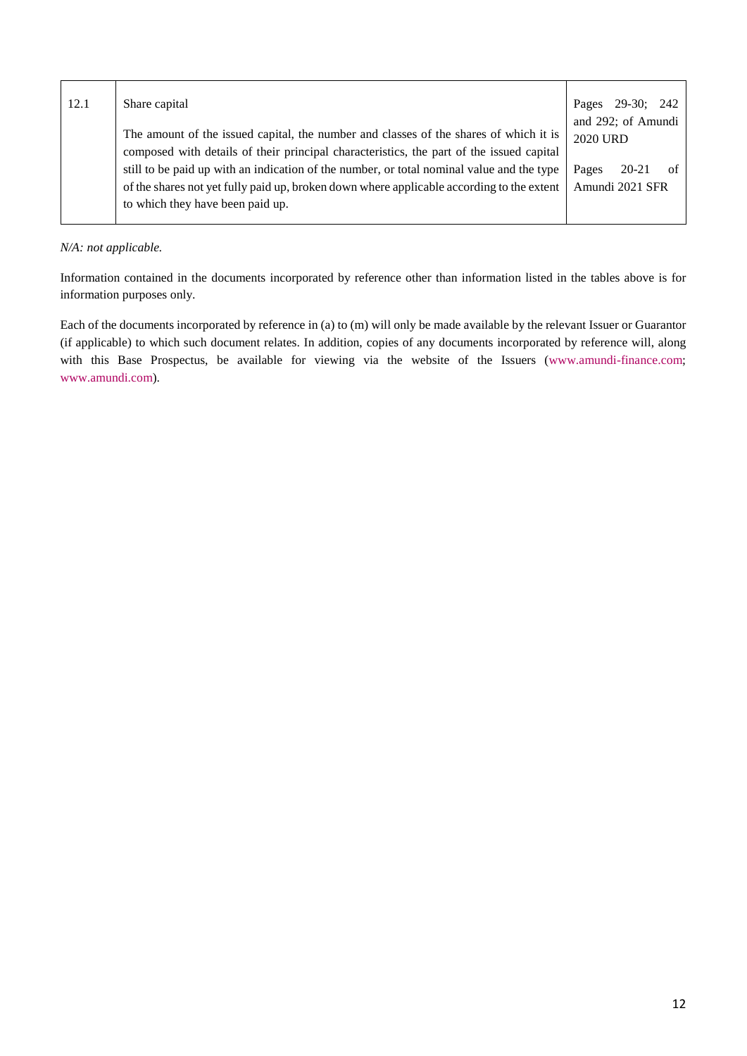| 12.1 | Share capital                                                                             | Pages           | 29-30; 242            |    |
|------|-------------------------------------------------------------------------------------------|-----------------|-----------------------|----|
|      |                                                                                           |                 | and $292$ ; of Amundi |    |
|      | The amount of the issued capital, the number and classes of the shares of which it is     | <b>2020 URD</b> |                       |    |
|      | composed with details of their principal characteristics, the part of the issued capital  |                 |                       |    |
|      | still to be paid up with an indication of the number, or total nominal value and the type | Pages           | 20-21                 | of |
|      | of the shares not yet fully paid up, broken down where applicable according to the extent | Amundi 2021 SFR |                       |    |
|      | to which they have been paid up.                                                          |                 |                       |    |
|      |                                                                                           |                 |                       |    |

## *N/A: not applicable.*

Information contained in the documents incorporated by reference other than information listed in the tables above is for information purposes only.

Each of the documents incorporated by reference in (a) to (m) will only be made available by the relevant Issuer or Guarantor [\(if applicable\) to which such document relates. In addition, copies of any documents incorporated by reference will, along](http://www.amundi-finance.com/)  [with this Base Prospectus, be available for viewing via the website of the Issuers \(](http://www.amundi.com/)www.amundi-finance.com; www.amundi.com).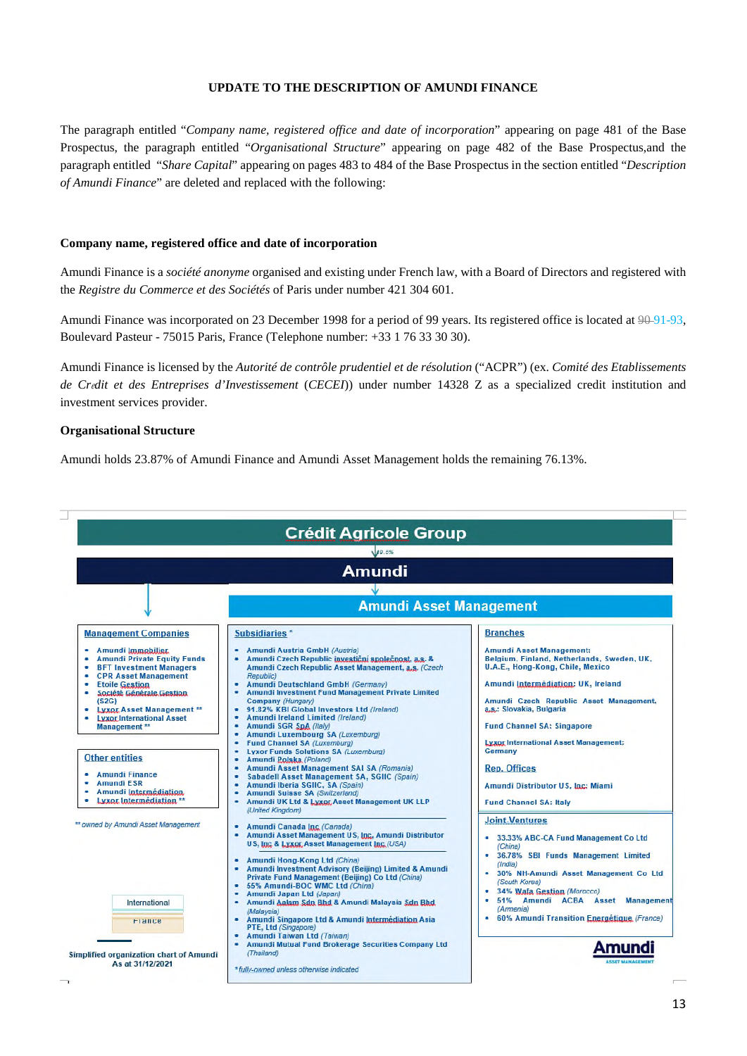### **UPDATE TO THE DESCRIPTION OF AMUNDI FINANCE**

<span id="page-12-0"></span>The paragraph entitled "*Company name, registered office and date of incorporation*" appearing on page 481 of the Base Prospectus, the paragraph entitled "*Organisational Structure*" appearing on page 482 of the Base Prospectus,and the paragraph entitled "*Share Capital*" appearing on pages 483 to 484 of the Base Prospectus in the section entitled "*Description of Amundi Finance*" are deleted and replaced with the following:

#### **Company name, registered office and date of incorporation**

Amundi Finance is a *société anonyme* organised and existing under French law, with a Board of Directors and registered with the *Registre du Commerce et des Sociétés* of Paris under number 421 304 601.

Amundi Finance was incorporated on 23 December 1998 for a period of 99 years. Its registered office is located at  $90-91-93$ , Boulevard Pasteur - 75015 Paris, France (Telephone number: +33 1 76 33 30 30).

Amundi Finance is licensed by the *Autorité de contrôle prudentiel et de résolution* ("ACPR") (ex. *Comité des Etablissements de Credit et des Entreprises d'Investissement* (*CECEI*)) under number 14328 Z as a specialized credit institution and investment services provider.

#### **Organisational Structure**

Amundi holds 23.87% of Amundi Finance and Amundi Asset Management holds the remaining 76.13%.

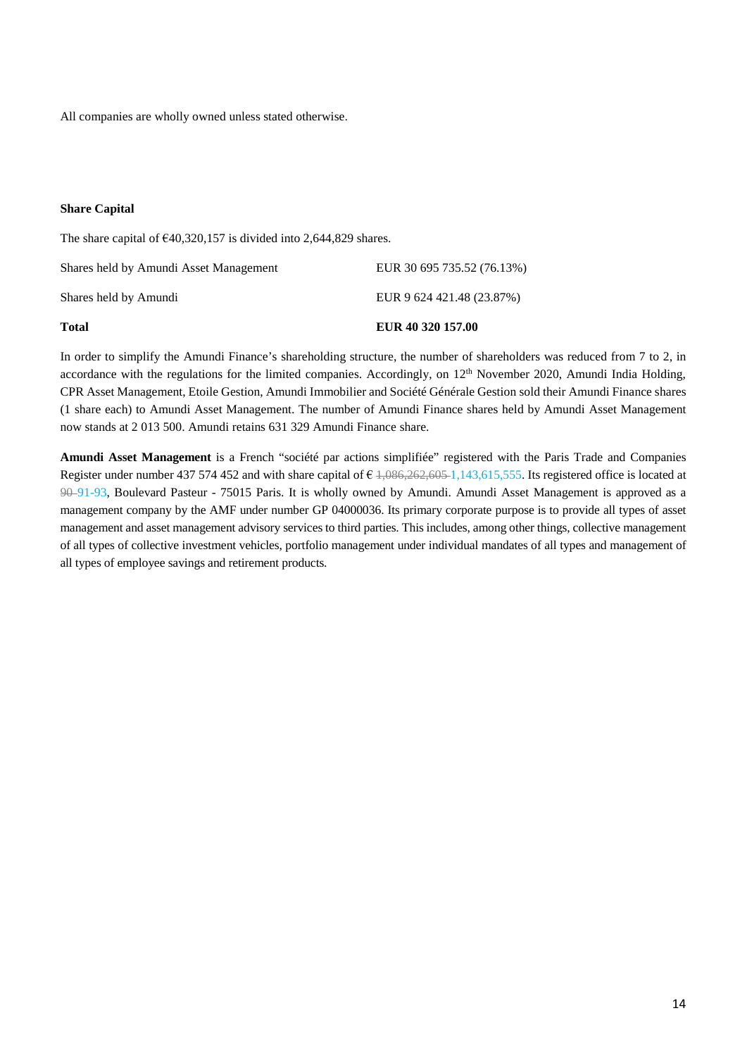All companies are wholly owned unless stated otherwise.

### **Share Capital**

The share capital of  $\epsilon$ 40,320,157 is divided into 2,644,829 shares.

| <b>Total</b>                           | EUR 40 320 157.00          |
|----------------------------------------|----------------------------|
| Shares held by Amundi                  | EUR 9 624 421.48 (23.87%)  |
| Shares held by Amundi Asset Management | EUR 30 695 735.52 (76.13%) |

In order to simplify the Amundi Finance's shareholding structure, the number of shareholders was reduced from 7 to 2, in accordance with the regulations for the limited companies. Accordingly, on 12<sup>th</sup> November 2020, Amundi India Holding, CPR Asset Management, Etoile Gestion, Amundi Immobilier and Société Générale Gestion sold their Amundi Finance shares (1 share each) to Amundi Asset Management. The number of Amundi Finance shares held by Amundi Asset Management now stands at 2 013 500. Amundi retains 631 329 Amundi Finance share.

**Amundi Asset Management** is a French "société par actions simplifiée" registered with the Paris Trade and Companies Register under number 437 574 452 and with share capital of  $\epsilon$  1,086,262,605-1,143,615,555. Its registered office is located at 90 91-93, Boulevard Pasteur - 75015 Paris. It is wholly owned by Amundi. Amundi Asset Management is approved as a management company by the AMF under number GP 04000036. Its primary corporate purpose is to provide all types of asset management and asset management advisory services to third parties. This includes, among other things, collective management of all types of collective investment vehicles, portfolio management under individual mandates of all types and management of all types of employee savings and retirement products.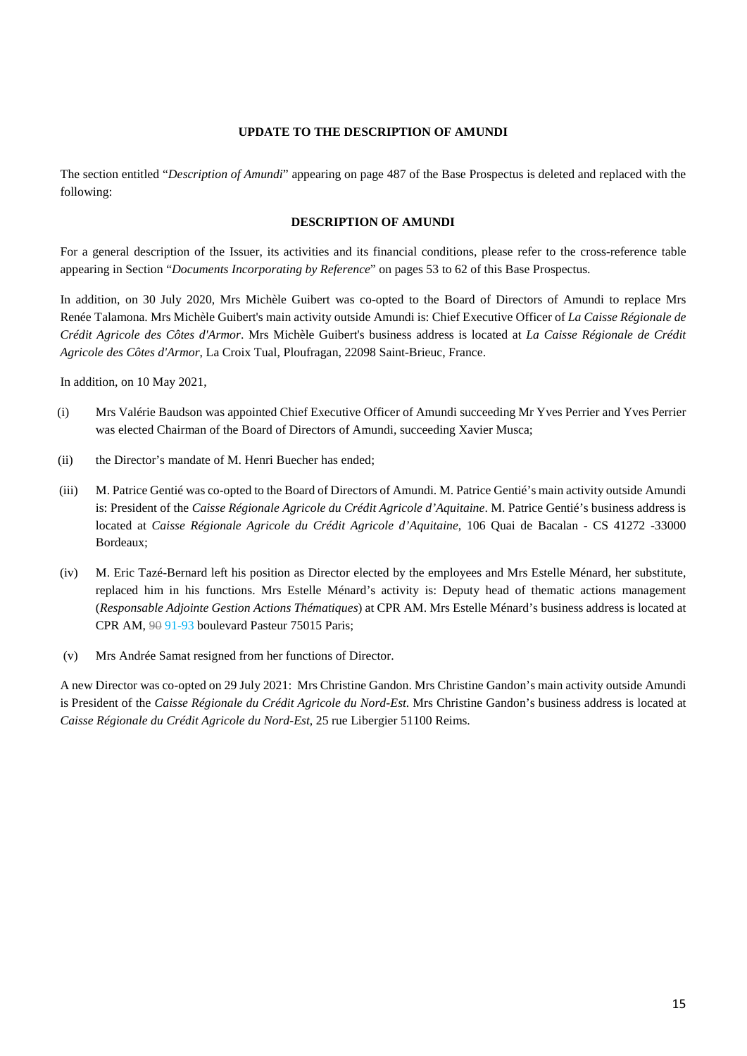## **UPDATE TO THE DESCRIPTION OF AMUNDI**

<span id="page-14-0"></span>The section entitled "*Description of Amundi*" appearing on page 487 of the Base Prospectus is deleted and replaced with the following:

#### **DESCRIPTION OF AMUNDI**

For a general description of the Issuer, its activities and its financial conditions, please refer to the cross-reference table appearing in Section "*Documents Incorporating by Reference*" on pages 53 to 62 of this Base Prospectus.

In addition, on 30 July 2020, Mrs Michèle Guibert was co-opted to the Board of Directors of Amundi to replace Mrs Renée Talamona. Mrs Michèle Guibert's main activity outside Amundi is: Chief Executive Officer of *La Caisse Régionale de Crédit Agricole des Côtes d'Armor*. Mrs Michèle Guibert's business address is located at *La Caisse Régionale de Crédit Agricole des Côtes d'Armor*, La Croix Tual, Ploufragan, 22098 Saint-Brieuc, France.

In addition, on 10 May 2021,

- (i) Mrs Valérie Baudson was appointed Chief Executive Officer of Amundi succeeding Mr Yves Perrier and Yves Perrier was elected Chairman of the Board of Directors of Amundi, succeeding Xavier Musca;
- (ii) the Director's mandate of M. Henri Buecher has ended;
- (iii) M. Patrice Gentié was co-opted to the Board of Directors of Amundi. M. Patrice Gentié's main activity outside Amundi is: President of the *Caisse Régionale Agricole du Crédit Agricole d'Aquitaine*. M. Patrice Gentié's business address is located at *Caisse Régionale Agricole du Crédit Agricole d'Aquitaine*, 106 Quai de Bacalan - CS 41272 -33000 Bordeaux;
- (iv) M. Eric Tazé-Bernard left his position as Director elected by the employees and Mrs Estelle Ménard, her substitute, replaced him in his functions. Mrs Estelle Ménard's activity is: Deputy head of thematic actions management (*Responsable Adjointe Gestion Actions Thématiques*) at CPR AM. Mrs Estelle Ménard's business address is located at CPR AM,  $99$  91-93 boulevard Pasteur 75015 Paris;
- (v) Mrs Andrée Samat resigned from her functions of Director.

A new Director was co-opted on 29 July 2021: Mrs Christine Gandon. Mrs Christine Gandon's main activity outside Amundi is President of the *Caisse Régionale du Crédit Agricole du Nord-Est*. Mrs Christine Gandon's business address is located at *Caisse Régionale du Crédit Agricole du Nord-Est*, 25 rue Libergier 51100 Reims.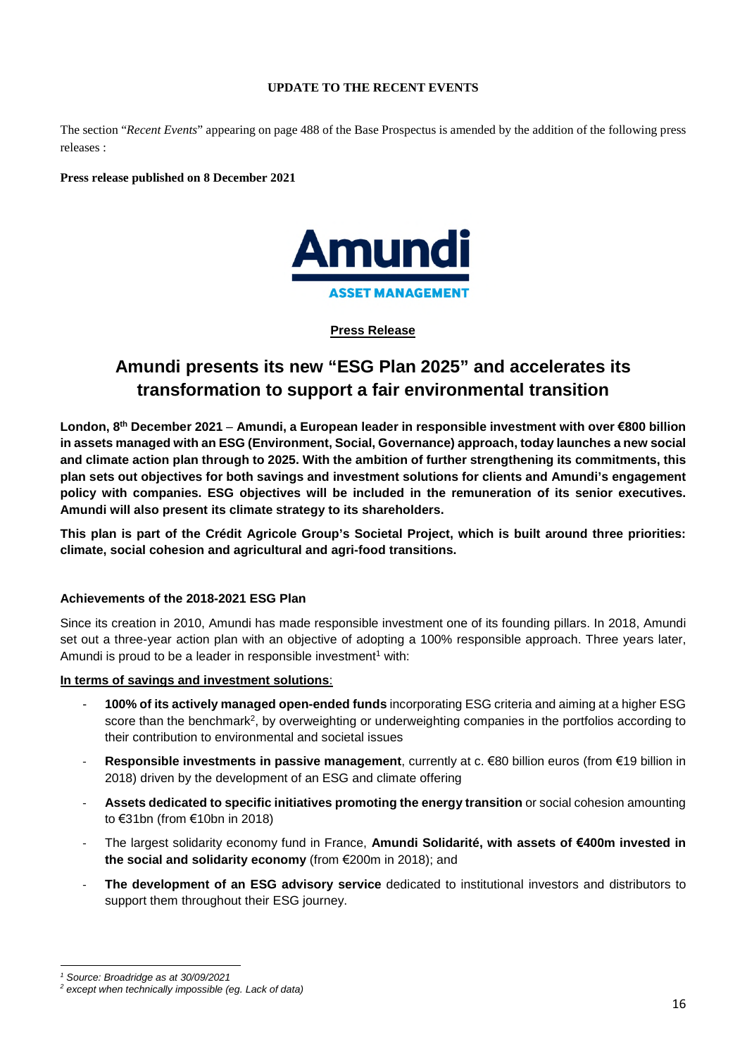## **UPDATE TO THE RECENT EVENTS**

<span id="page-15-0"></span>The section "*Recent Events*" appearing on page 488 of the Base Prospectus is amended by the addition of the following press releases :

**Press release published on 8 December 2021** 



# **Press Release**

# **Amundi presents its new "ESG Plan 2025" and accelerates its transformation to support a fair environmental transition**

**London, 8th December 2021** – **Amundi, a European leader in responsible investment with over €800 billion in assets managed with an ESG (Environment, Social, Governance) approach, today launches a new social and climate action plan through to 2025. With the ambition of further strengthening its commitments, this plan sets out objectives for both savings and investment solutions for clients and Amundi's engagement policy with companies. ESG objectives will be included in the remuneration of its senior executives. Amundi will also present its climate strategy to its shareholders.** 

**This plan is part of the Crédit Agricole Group's Societal Project, which is built around three priorities: climate, social cohesion and agricultural and agri-food transitions.** 

# **Achievements of the 2018-2021 ESG Plan**

Since its creation in 2010, Amundi has made responsible investment one of its founding pillars. In 2018, Amundi set out a three-year action plan with an objective of adopting a 100% responsible approach. Three years later, Amundiis proud to be a leader in responsible investment<sup>1</sup> with:

# **In terms of savings and investment solutions**:

- **100% of its actively managed open-ended funds** incorporating ESG criteria and aiming at a higher ESG score than the benchmark<sup>[2](#page-15-2)</sup>, by overweighting or underweighting companies in the portfolios according to their contribution to environmental and societal issues
- **Responsible investments in passive management**, currently at c. €80 billion euros (from €19 billion in 2018) driven by the development of an ESG and climate offering
- **Assets dedicated to specific initiatives promoting the energy transition** or social cohesion amounting to €31bn (from €10bn in 2018)
- The largest solidarity economy fund in France, **Amundi Solidarité, with assets of €400m invested in the social and solidarity economy** (from €200m in 2018); and
- The development of an ESG advisory service dedicated to institutional investors and distributors to support them throughout their ESG journey.

<span id="page-15-2"></span><span id="page-15-1"></span>*<sup>1</sup> Source: Broadridge as at 30/09/2021* 

*<sup>2</sup> except when technically impossible (eg. Lack of data)*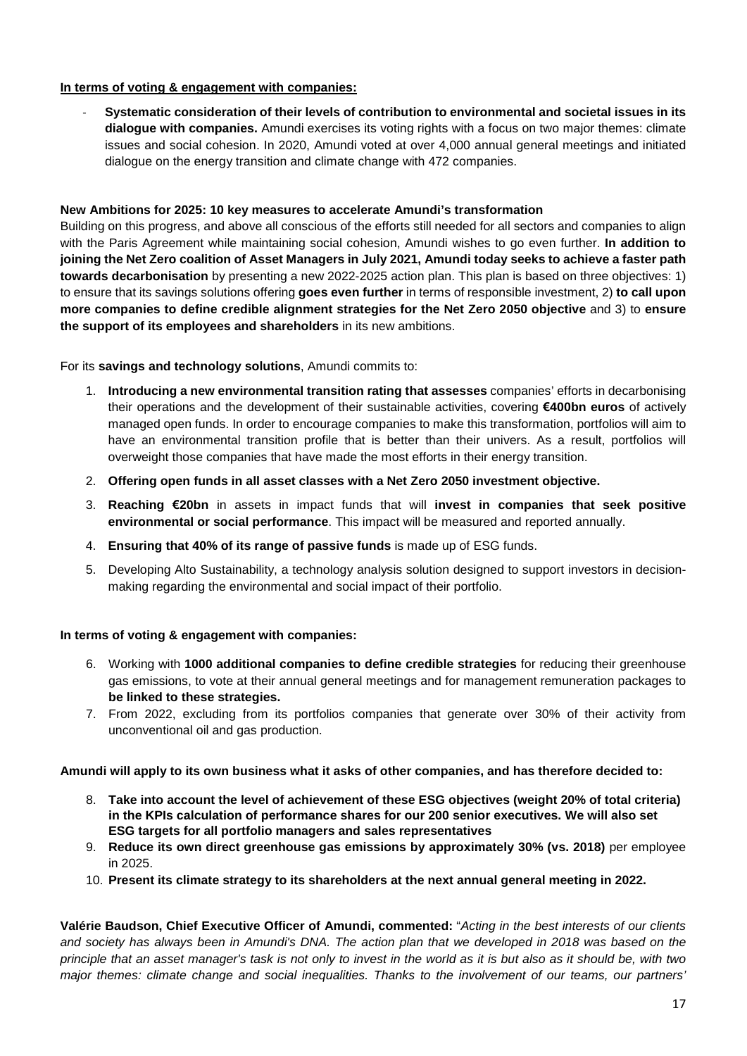# **In terms of voting & engagement with companies:**

- **Systematic consideration of their levels of contribution to environmental and societal issues in its dialogue with companies.** Amundi exercises its voting rights with a focus on two major themes: climate issues and social cohesion. In 2020, Amundi voted at over 4,000 annual general meetings and initiated dialogue on the energy transition and climate change with 472 companies.

# **New Ambitions for 2025: 10 key measures to accelerate Amundi's transformation**

Building on this progress, and above all conscious of the efforts still needed for all sectors and companies to align with the Paris Agreement while maintaining social cohesion, Amundi wishes to go even further. **In addition to joining the Net Zero coalition of Asset Managers in July 2021, Amundi today seeks to achieve a faster path towards decarbonisation** by presenting a new 2022-2025 action plan. This plan is based on three objectives: 1) to ensure that its savings solutions offering **goes even further** in terms of responsible investment, 2) **to call upon more companies to define credible alignment strategies for the Net Zero 2050 objective** and 3) to **ensure the support of its employees and shareholders** in its new ambitions.

For its **savings and technology solutions**, Amundi commits to:

- 1. **Introducing a new environmental transition rating that assesses** companies' efforts in decarbonising their operations and the development of their sustainable activities, covering **€400bn euros** of actively managed open funds. In order to encourage companies to make this transformation, portfolios will aim to have an environmental transition profile that is better than their univers. As a result, portfolios will overweight those companies that have made the most efforts in their energy transition.
- 2. **Offering open funds in all asset classes with a Net Zero 2050 investment objective.**
- 3. **Reaching €20bn** in assets in impact funds that will **invest in companies that seek positive environmental or social performance**. This impact will be measured and reported annually.
- 4. **Ensuring that 40% of its range of passive funds** is made up of ESG funds.
- 5. Developing Alto Sustainability, a technology analysis solution designed to support investors in decisionmaking regarding the environmental and social impact of their portfolio.

# **In terms of voting & engagement with companies:**

- 6. Working with **1000 additional companies to define credible strategies** for reducing their greenhouse gas emissions, to vote at their annual general meetings and for management remuneration packages to **be linked to these strategies.**
- 7. From 2022, excluding from its portfolios companies that generate over 30% of their activity from unconventional oil and gas production.

# **Amundi will apply to its own business what it asks of other companies, and has therefore decided to:**

- 8. **Take into account the level of achievement of these ESG objectives (weight 20% of total criteria) in the KPIs calculation of performance shares for our 200 senior executives. We will also set ESG targets for all portfolio managers and sales representatives**
- 9. **Reduce its own direct greenhouse gas emissions by approximately 30% (vs. 2018)** per employee in 2025.
- 10. **Present its climate strategy to its shareholders at the next annual general meeting in 2022.**

**Valérie Baudson, Chief Executive Officer of Amundi, commented:** "*Acting in the best interests of our clients and society has always been in Amundi's DNA. The action plan that we developed in 2018 was based on the principle that an asset manager's task is not only to invest in the world as it is but also as it should be, with two major themes: climate change and social inequalities. Thanks to the involvement of our teams, our partners'*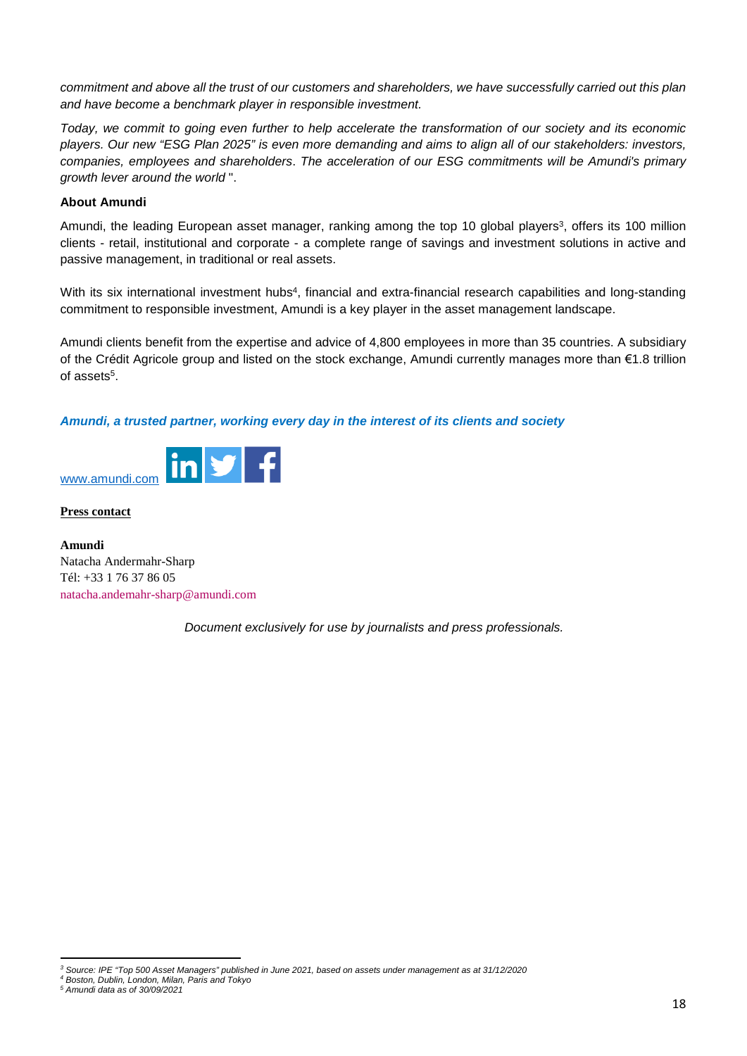*commitment and above all the trust of our customers and shareholders, we have successfully carried out this plan and have become a benchmark player in responsible investment.* 

*Today, we commit to going even further to help accelerate the transformation of our society and its economic players. Our new "ESG Plan 2025" is even more demanding and aims to align all of our stakeholders: investors, companies, employees and shareholders*. *The acceleration of our ESG commitments will be Amundi's primary growth lever around the world* ".

## **About Amundi**

Amundi, the leading European asset manager, ranking among the top 10 global players<sup>[3](#page-17-0)</sup>, offers its 100 million clients - retail, institutional and corporate - a complete range of savings and investment solutions in active and passive management, in traditional or real assets.

With its six international investment hubs<sup>4</sup>[,](#page-17-1) financial and extra-financial research capabilities and long-standing commitment to responsible investment, Amundi is a key player in the asset management landscape.

Amundi clients benefit from the expertise and advice of 4,800 employees in more than 35 countries. A subsidiary of the Crédit Agricole group and listed on the stock exchange, Amundi currently manages more than €1.8 trillion of assets<sup>[5](#page-17-2)</sup>.

# *Amundi, a trusted partner, working every day in the interest of its clients and society*



**Press contact** 

**Amundi**  Natacha Andermahr-Sharp Tél: +33 1 76 37 86 05 [natacha.andemahr-sharp@amundi.com](mailto:natacha.andemahr-sharp@amundi.com)

*Document exclusively for use by journalists and press professionals.* 

<span id="page-17-1"></span><span id="page-17-0"></span>*<sup>3</sup> Source: IPE "Top 500 Asset Managers" published in June 2021, based on assets under management as at 31/12/2020* 

<span id="page-17-2"></span>*<sup>4</sup> Boston, Dublin, London, Milan, Paris and Tokyo* 

*<sup>5</sup> Amundi data as of 30/09/2021*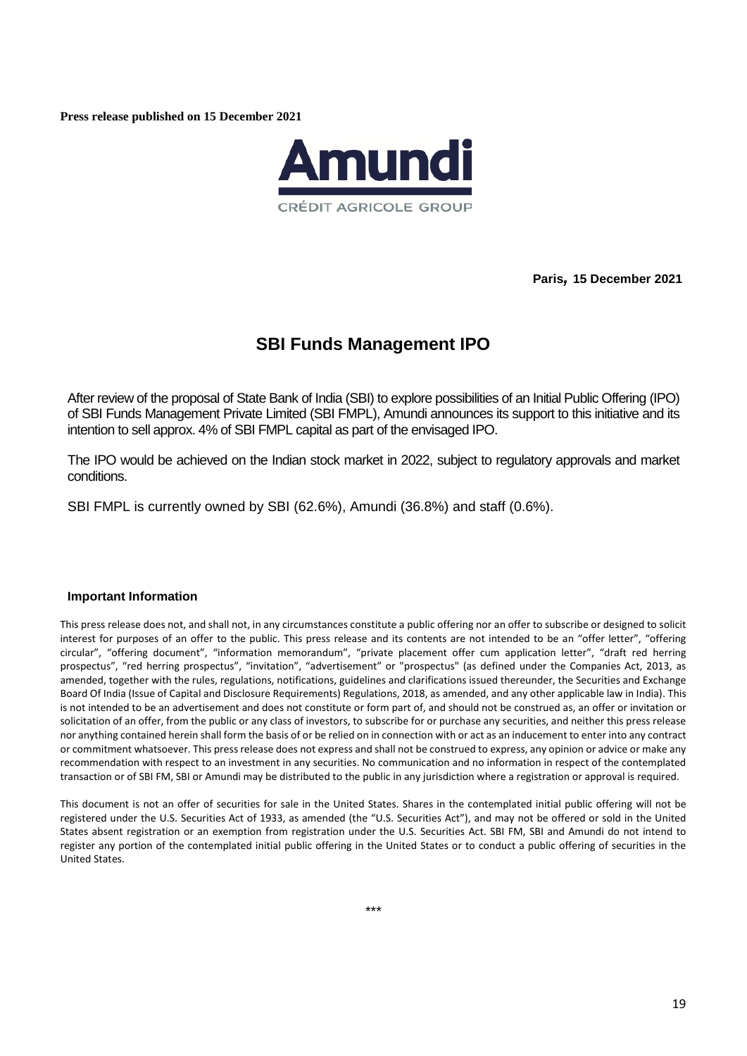**Press release published on 15 December 2021** 



**Paris***,* **15 December 2021** 

# **SBI Funds Management IPO**

After review of the proposal of State Bank of India (SBI) to explore possibilities of an Initial Public Offering (IPO) of SBI Funds Management Private Limited (SBI FMPL), Amundi announces its support to this initiative and its intention to sell approx. 4% of SBI FMPL capital as part of the envisaged IPO.

The IPO would be achieved on the Indian stock market in 2022, subject to regulatory approvals and market conditions.

SBI FMPL is currently owned by SBI (62.6%), Amundi (36.8%) and staff (0.6%).

## **Important Information**

This press release does not, and shall not, in any circumstances constitute a public offering nor an offer to subscribe or designed to solicit interest for purposes of an offer to the public. This press release and its contents are not intended to be an "offer letter", "offering circular", "offering document", "information memorandum", "private placement offer cum application letter", "draft red herring prospectus", "red herring prospectus", "invitation", "advertisement" or "prospectus" (as defined under the Companies Act, 2013, as amended, together with the rules, regulations, notifications, guidelines and clarifications issued thereunder, the Securities and Exchange Board Of India (Issue of Capital and Disclosure Requirements) Regulations, 2018, as amended, and any other applicable law in India). This is not intended to be an advertisement and does not constitute or form part of, and should not be construed as, an offer or invitation or solicitation of an offer, from the public or any class of investors, to subscribe for or purchase any securities, and neither this press release nor anything contained herein shall form the basis of or be relied on in connection with or act as an inducement to enter into any contract or commitment whatsoever. This press release does not express and shall not be construed to express, any opinion or advice or make any recommendation with respect to an investment in any securities. No communication and no information in respect of the contemplated transaction or of SBI FM, SBI or Amundi may be distributed to the public in any jurisdiction where a registration or approval is required.

This document is not an offer of securities for sale in the United States. Shares in the contemplated initial public offering will not be registered under the U.S. Securities Act of 1933, as amended (the "U.S. Securities Act"), and may not be offered or sold in the United States absent registration or an exemption from registration under the U.S. Securities Act. SBI FM, SBI and Amundi do not intend to register any portion of the contemplated initial public offering in the United States or to conduct a public offering of securities in the United States.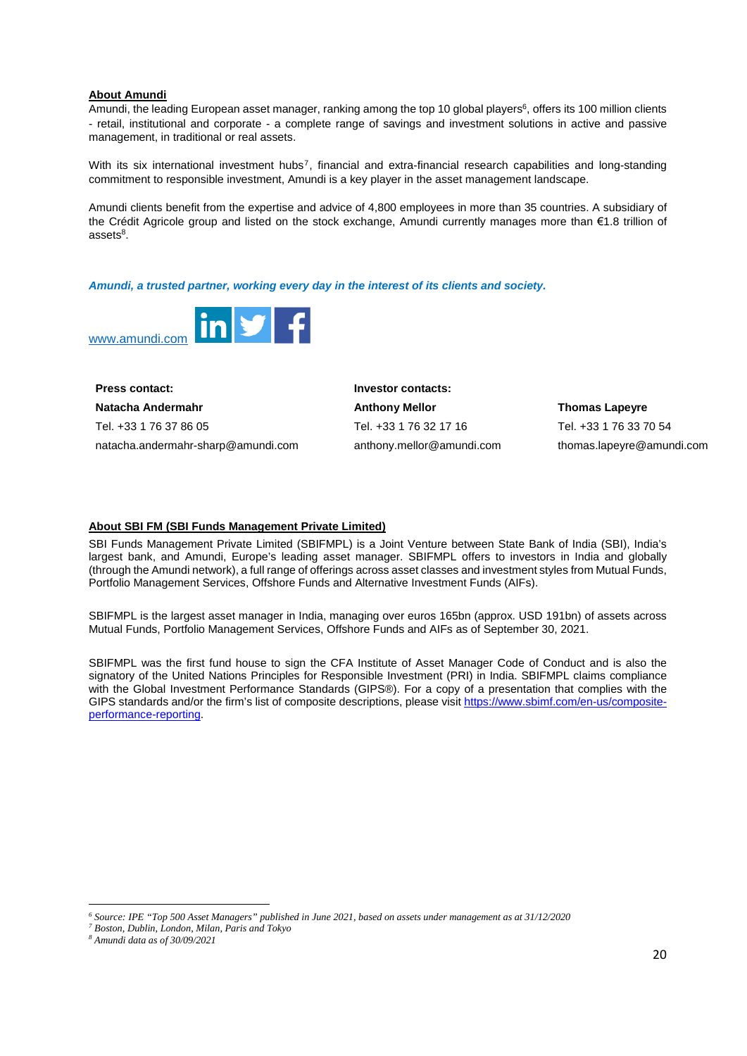#### **About Amundi**

Amundi, the leading European asset manager, ranking among the top 10 global players<sup>[6](#page-19-0)</sup>, offers its 100 million clients - retail, institutional and corporate - a complete range of savings and investment solutions in active and passive management, in traditional or real assets.

With its six international investment hubs<sup>[7](#page-19-1)</sup>, financial and extra-financial research capabilities and long-standing commitment to responsible investment, Amundi is a key player in the asset management landscape.

Amundi clients benefit from the expertise and advice of 4,800 employees in more than 35 countries. A subsidiary of the Crédit Agricole group and listed on the stock exchange, Amundi currently manages more than €1.8 trillion of assets<sup>8</sup>.

*Amundi, a trusted partner, working every day in the interest of its clients and society.* 



| <b>Press contact:</b>              | Investor contacts:        |                           |  |
|------------------------------------|---------------------------|---------------------------|--|
| Natacha Andermahr                  | <b>Anthony Mellor</b>     | <b>Thomas Lapeyre</b>     |  |
| Tel. +33 1 76 37 86 05             | Tel. +33 1 76 32 17 16    | Tel. +33 1 76 33 70 54    |  |
| natacha.andermahr-sharp@amundi.com | anthony.mellor@amundi.com | thomas.lapeyre@amundi.com |  |

#### **About SBI FM (SBI Funds Management Private Limited)**

SBI Funds Management Private Limited (SBIFMPL) is a Joint Venture between State Bank of India (SBI), India's largest bank, and Amundi, Europe's leading asset manager. SBIFMPL offers to investors in India and globally (through the Amundi network), a full range of offerings across asset classes and investment styles from Mutual Funds, Portfolio Management Services, Offshore Funds and Alternative Investment Funds (AIFs).

SBIFMPL is the largest asset manager in India, managing over euros 165bn (approx. USD 191bn) of assets across Mutual Funds, Portfolio Management Services, Offshore Funds and AIFs as of September 30, 2021.

SBIFMPL was the first fund house to sign the CFA Institute of Asset Manager Code of Conduct and is also the signatory of the United Nations Principles for Responsible Investment (PRI) in India. SBIFMPL claims compliance with the Global Investment Performance Standards (GIPS®). For a copy of a presentation that complies with the GIPS standards and/or the firm's list of composite descriptions, please visit [https://www.sbimf.com/en-us/composite](https://www.sbimf.com/en-us/composite-performance-reporting)[performance-reporting.](https://www.sbimf.com/en-us/composite-performance-reporting) 

<span id="page-19-1"></span><span id="page-19-0"></span>*<sup>6</sup> Source: IPE "Top 500 Asset Managers" published in June 2021, based on assets under management as at 31/12/2020* 

<span id="page-19-2"></span>*<sup>7</sup> Boston, Dublin, London, Milan, Paris and Tokyo* 

*<sup>8</sup> Amundi data as of 30/09/2021*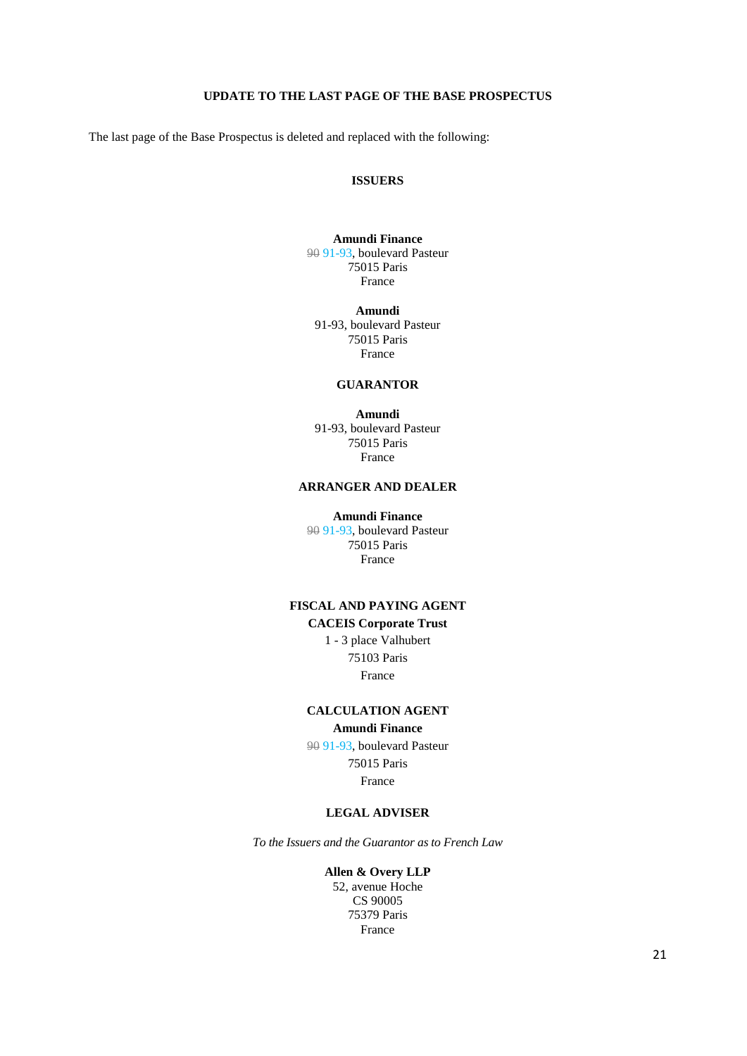## **UPDATE TO THE LAST PAGE OF THE BASE PROSPECTUS**

<span id="page-20-0"></span>The last page of the Base Prospectus is deleted and replaced with the following:

## **ISSUERS**

#### **Amundi Finance**  90 91-93, boulevard Pasteur 75015 Paris France

**Amundi**  91-93, boulevard Pasteur 75015 Paris France

### **GUARANTOR**

**Amundi**  91-93, boulevard Pasteur 75015 Paris France

## **ARRANGER AND DEALER**

**Amundi Finance**  90 91-93, boulevard Pasteur 75015 Paris France

# **FISCAL AND PAYING AGENT CACEIS Corporate Trust**

1 - 3 place Valhubert 75103 Paris France

## **CALCULATION AGENT Amundi Finance**

90 91-93, boulevard Pasteur 75015 Paris France

#### **LEGAL ADVISER**

*To the Issuers and the Guarantor as to French Law*

**Allen & Overy LLP**  52, avenue Hoche CS 90005 75379 Paris France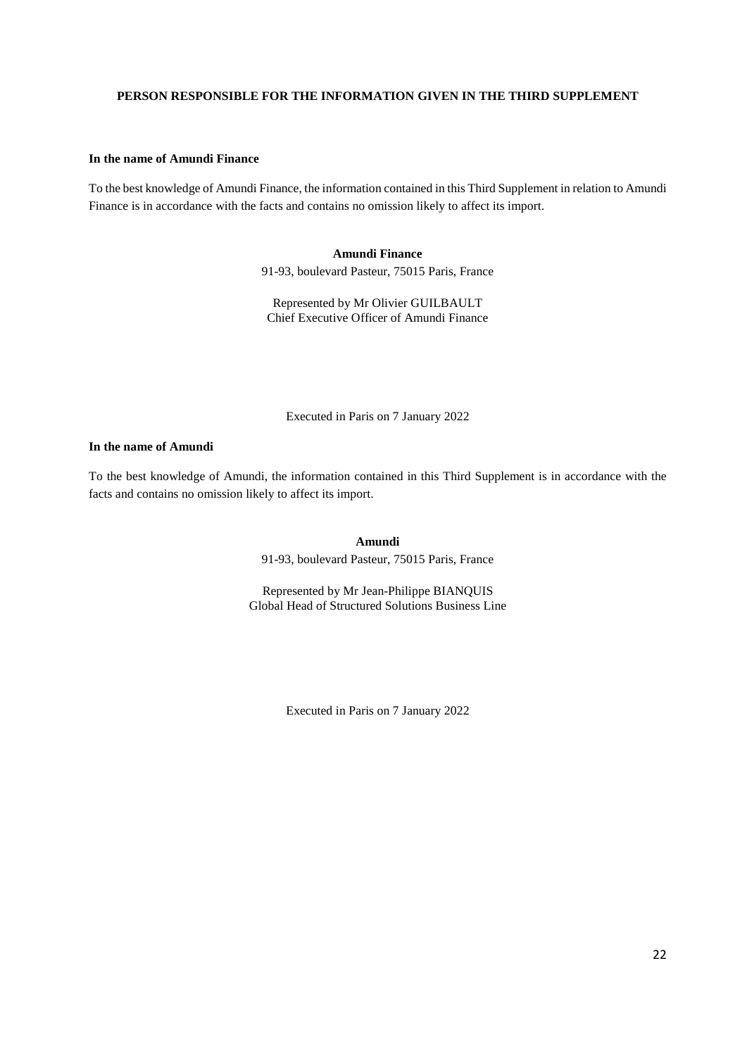### <span id="page-21-0"></span>**PERSON RESPONSIBLE FOR THE INFORMATION GIVEN IN THE THIRD SUPPLEMENT**

#### **In the name of Amundi Finance**

To the best knowledge of Amundi Finance, the information contained in this Third Supplement in relation to Amundi Finance is in accordance with the facts and contains no omission likely to affect its import.

## **Amundi Finance**

91-93, boulevard Pasteur, 75015 Paris, France

Represented by Mr Olivier GUILBAULT Chief Executive Officer of Amundi Finance

Executed in Paris on 7 January 2022

## **In the name of Amundi**

To the best knowledge of Amundi, the information contained in this Third Supplement is in accordance with the facts and contains no omission likely to affect its import.

**Amundi** 

91-93, boulevard Pasteur, 75015 Paris, France

Represented by Mr Jean-Philippe BIANQUIS Global Head of Structured Solutions Business Line

Executed in Paris on 7 January 2022